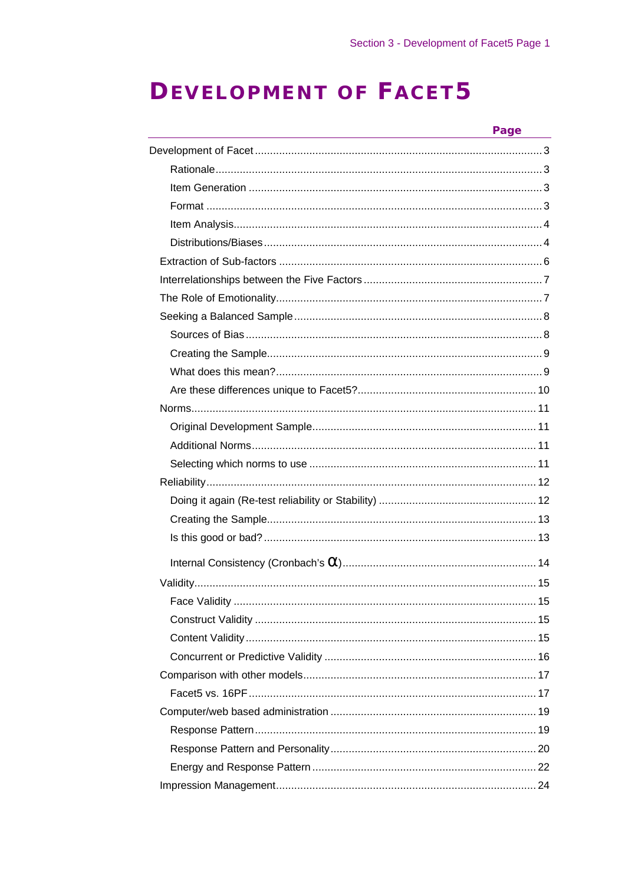# **DEVELOPMENT OF FACET5**

| Page |
|------|
|      |
|      |
|      |
|      |
|      |
|      |
|      |
|      |
|      |
|      |
|      |
|      |
|      |
|      |
|      |
|      |
|      |
|      |
|      |
|      |
|      |
|      |
|      |
|      |
|      |
|      |
|      |
|      |
|      |
|      |
|      |
|      |
|      |
|      |
|      |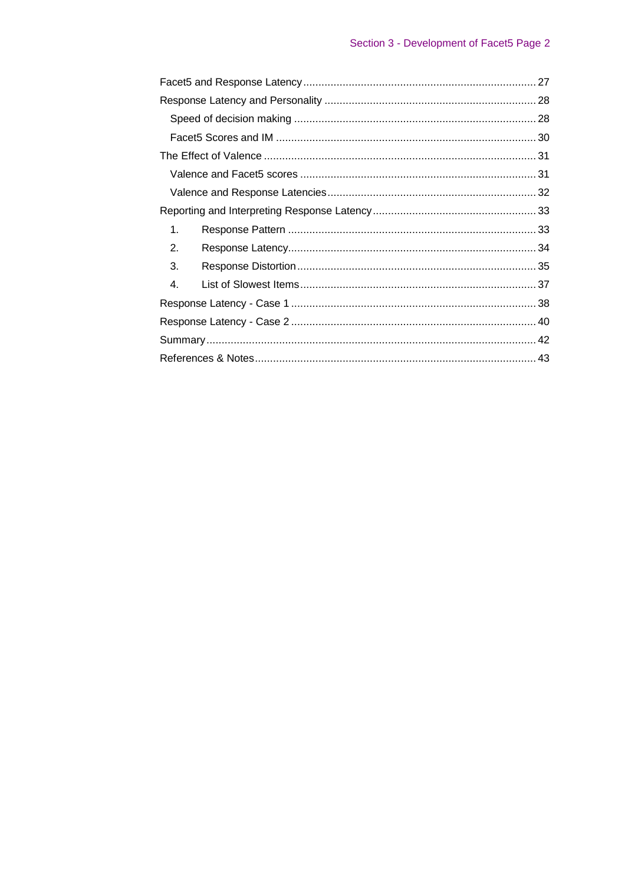| 1. |  |
|----|--|
| 2. |  |
| 3. |  |
| 4. |  |
|    |  |
|    |  |
|    |  |
|    |  |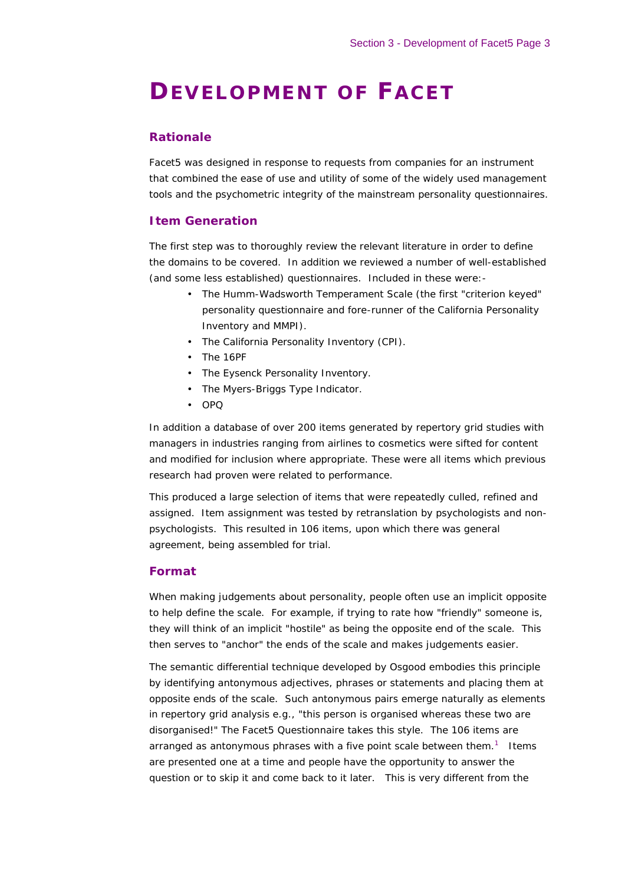# **DEVELOPMENT OF FACET**

#### *Rationale*

Facet5 was designed in response to requests from companies for an instrument that combined the ease of use and utility of some of the widely used management tools and the psychometric integrity of the mainstream personality questionnaires.

#### *Item Generation*

The first step was to thoroughly review the relevant literature in order to define the domains to be covered. In addition we reviewed a number of well-established (and some less established) questionnaires. Included in these were:-

- The Humm-Wadsworth Temperament Scale (the first "criterion keyed" personality questionnaire and fore-runner of the California Personality Inventory and MMPI).
- The California Personality Inventory (CPI).
- The 16PF
- The Eysenck Personality Inventory.
- The Myers-Briggs Type Indicator.
- OPQ

In addition a database of over 200 items generated by repertory grid studies with managers in industries ranging from airlines to cosmetics were sifted for content and modified for inclusion where appropriate. These were all items which previous research had proven were related to performance.

This produced a large selection of items that were repeatedly culled, refined and assigned. Item assignment was tested by retranslation by psychologists and nonpsychologists. This resulted in 106 items, upon which there was general agreement, being assembled for trial.

### *Format*

When making judgements about personality, people often use an implicit opposite to help define the scale. For example, if trying to rate how "friendly" someone is, they will think of an implicit "hostile" as being the opposite end of the scale. This then serves to "anchor" the ends of the scale and makes judgements easier.

The semantic differential technique developed by Osgood embodies this principle by identifying antonymous adjectives, phrases or statements and placing them at opposite ends of the scale. Such antonymous pairs emerge naturally as elements in repertory grid analysis e.g., "this person is organised whereas these two are disorganised!" The Facet5 Questionnaire takes this style. The 106 items are arranged as antonymous phrases with a five point scale between them.<sup>1</sup> Items are presented one at a time and people have the opportunity to answer the question or to skip it and come back to it later. This is very different from the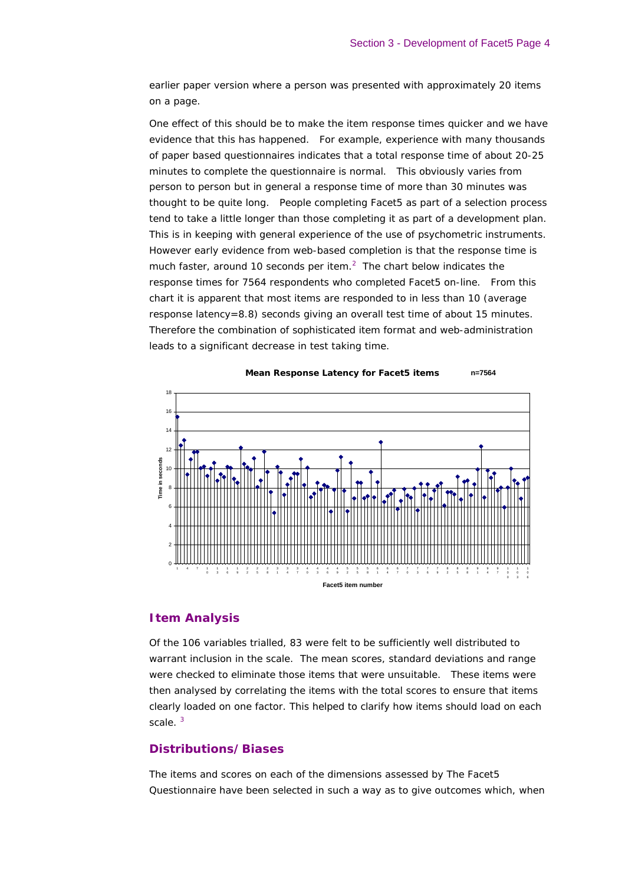earlier paper version where a person was presented with approximately 20 items on a page.

One effect of this should be to make the item response times quicker and we have evidence that this has happened. For example, experience with many thousands of paper based questionnaires indicates that a total response time of about 20-25 minutes to complete the questionnaire is normal. This obviously varies from person to person but in general a response time of more than 30 minutes was thought to be quite long. People completing Facet5 as part of a selection process tend to take a little longer than those completing it as part of a development plan. This is in keeping with general experience of the use of psychometric instruments. However early evidence from web-based completion is that the response time is much faster, around 10 seconds per item. $<sup>2</sup>$  The chart below indicates the</sup> response times for 7564 respondents who completed Facet5 on-line. From this chart it is apparent that most items are responded to in less than 10 (average response latency=8.8) seconds giving an overall test time of about 15 minutes. Therefore the combination of sophisticated item format and web-administration leads to a significant decrease in test taking time.





### *Item Analysis*

Of the 106 variables trialled, 83 were felt to be sufficiently well distributed to warrant inclusion in the scale. The mean scores, standard deviations and range were checked to eliminate those items that were unsuitable. These items were then analysed by correlating the items with the total scores to ensure that items clearly loaded on one factor. This helped to clarify how items should load on each scale.<sup>3</sup>

#### *Distributions/Biases*

The items and scores on each of the dimensions assessed by The Facet5 Questionnaire have been selected in such a way as to give outcomes which, when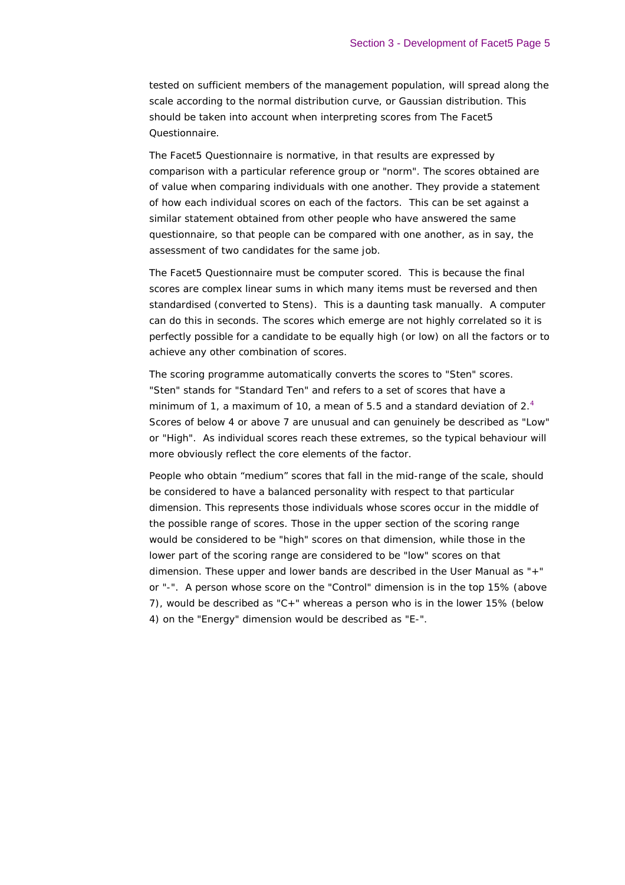tested on sufficient members of the management population, will spread along the scale according to the normal distribution curve, or Gaussian distribution. This should be taken into account when interpreting scores from The Facet5 Questionnaire.

The Facet5 Questionnaire is normative, in that results are expressed by comparison with a particular reference group or "norm". The scores obtained are of value when comparing individuals with one another. They provide a statement of how each individual scores on each of the factors. This can be set against a similar statement obtained from other people who have answered the same questionnaire, so that people can be compared with one another, as in say, the assessment of two candidates for the same job.

The Facet5 Questionnaire must be computer scored. This is because the final scores are complex linear sums in which many items must be reversed and then standardised (converted to Stens). This is a daunting task manually. A computer can do this in seconds. The scores which emerge are not highly correlated so it is perfectly possible for a candidate to be equally high (or low) on all the factors or to achieve any other combination of scores.

The scoring programme automatically converts the scores to "Sten" scores. "Sten" stands for "Standard Ten" and refers to a set of scores that have a minimum of 1, a maximum of 10, a mean of 5.5 and a standard deviation of 2.<sup>4</sup> Scores of below 4 or above 7 are unusual and can genuinely be described as "Low" or "High". As individual scores reach these extremes, so the typical behaviour will more obviously reflect the core elements of the factor.

People who obtain "medium" scores that fall in the mid-range of the scale, should be considered to have a balanced personality with respect to that particular dimension. This represents those individuals whose scores occur in the middle of the possible range of scores. Those in the upper section of the scoring range would be considered to be "high" scores on that dimension, while those in the lower part of the scoring range are considered to be "low" scores on that dimension. These upper and lower bands are described in the User Manual as "+" or "-". A person whose score on the "Control" dimension is in the top 15% (above 7), would be described as "C+" whereas a person who is in the lower 15% (below 4) on the "Energy" dimension would be described as "E-".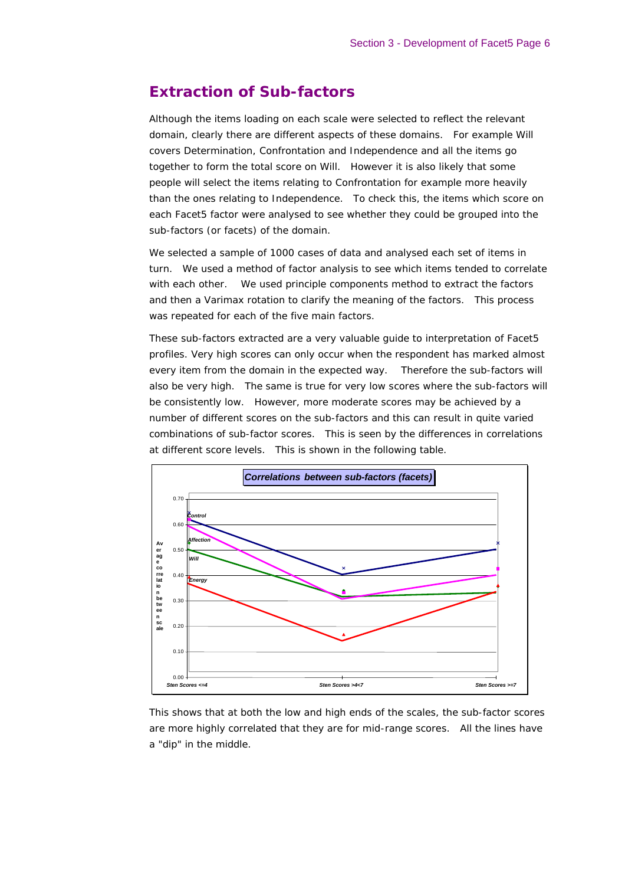# **Extraction of Sub-factors**

Although the items loading on each scale were selected to reflect the relevant domain, clearly there are different aspects of these domains. For example Will covers Determination, Confrontation and Independence and all the items go together to form the total score on Will. However it is also likely that some people will select the items relating to Confrontation for example more heavily than the ones relating to Independence. To check this, the items which score on each Facet5 factor were analysed to see whether they could be grouped into the sub-factors (or facets) of the domain.

We selected a sample of 1000 cases of data and analysed each set of items in turn. We used a method of factor analysis to see which items tended to correlate with each other. We used principle components method to extract the factors and then a Varimax rotation to clarify the meaning of the factors. This process was repeated for each of the five main factors.

These sub-factors extracted are a very valuable guide to interpretation of Facet5 profiles. Very high scores can only occur when the respondent has marked almost every item from the domain in the expected way. Therefore the sub-factors will also be very high. The same is true for very low scores where the sub-factors will be consistently low. However, more moderate scores may be achieved by a number of different scores on the sub-factors and this can result in quite varied combinations of sub-factor scores. This is seen by the differences in correlations at different score levels. This is shown in the following table.



This shows that at both the low and high ends of the scales, the sub-factor scores are more highly correlated that they are for mid-range scores. All the lines have a "dip" in the middle.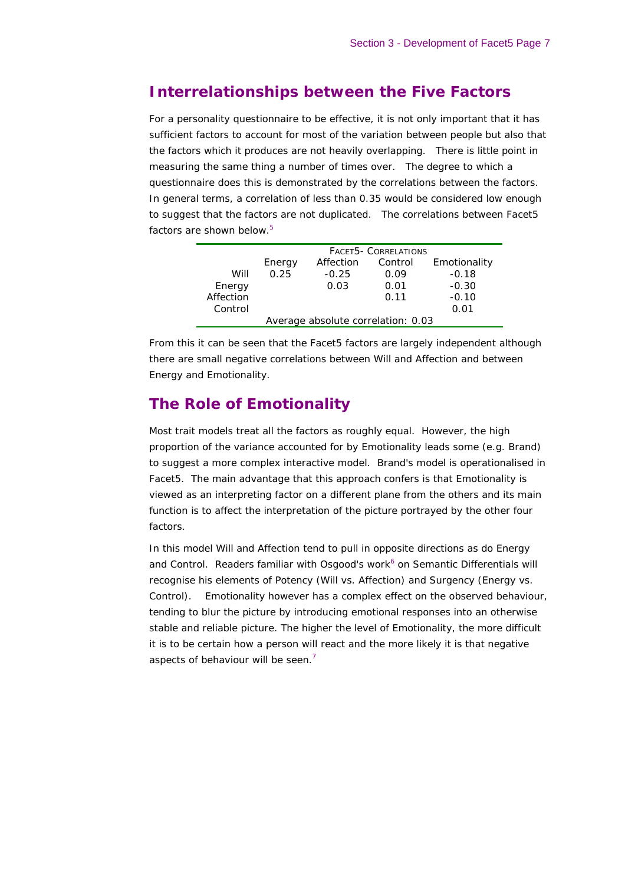# **Interrelationships between the Five Factors**

For a personality questionnaire to be effective, it is not only important that it has sufficient factors to account for most of the variation between people but also that the factors which it produces are not heavily overlapping. There is little point in measuring the same thing a number of times over. The degree to which a questionnaire does this is demonstrated by the *correlations* between the factors. In general terms, a correlation of less than 0.35 would be considered low enough to suggest that the factors are not duplicated. The correlations between Facet5 factors are shown below.<sup>5</sup>

|                                    | <b>FACET5- CORRELATIONS</b> |           |         |              |  |  |
|------------------------------------|-----------------------------|-----------|---------|--------------|--|--|
|                                    | Energy                      | Affection | Control | Emotionality |  |  |
| Will                               | 0.25                        | $-0.25$   | 0.09    | $-0.18$      |  |  |
| Energy                             |                             | 0.03      | 0.01    | $-0.30$      |  |  |
| Affection                          |                             |           | 0.11    | $-0.10$      |  |  |
| Control                            |                             |           |         | 0.01         |  |  |
| Average absolute correlation: 0.03 |                             |           |         |              |  |  |

From this it can be seen that the Facet5 factors are largely independent although there are small negative correlations between Will and Affection and between Energy and Emotionality.

# **The Role of Emotionality**

Most trait models treat all the factors as roughly equal. However, the high proportion of the variance accounted for by Emotionality leads some (e.g. Brand) to suggest a more complex interactive model. Brand's model is operationalised in Facet5. The main advantage that this approach confers is that Emotionality is viewed as an interpreting factor on a different plane from the others and its main function is to affect the interpretation of the picture portrayed by the other four factors.

In this model Will and Affection tend to pull in opposite directions as do Energy and Control. Readers familiar with Osgood's work<sup>6</sup> on Semantic Differentials will recognise his elements of Potency (Will vs. Affection) and Surgency (Energy vs. Control). Emotionality however has a complex effect on the observed behaviour, tending to blur the picture by introducing emotional responses into an otherwise stable and reliable picture. The higher the level of Emotionality, the more difficult it is to be certain how a person will react and the more likely it is that negative aspects of behaviour will be seen. $<sup>7</sup>$ </sup>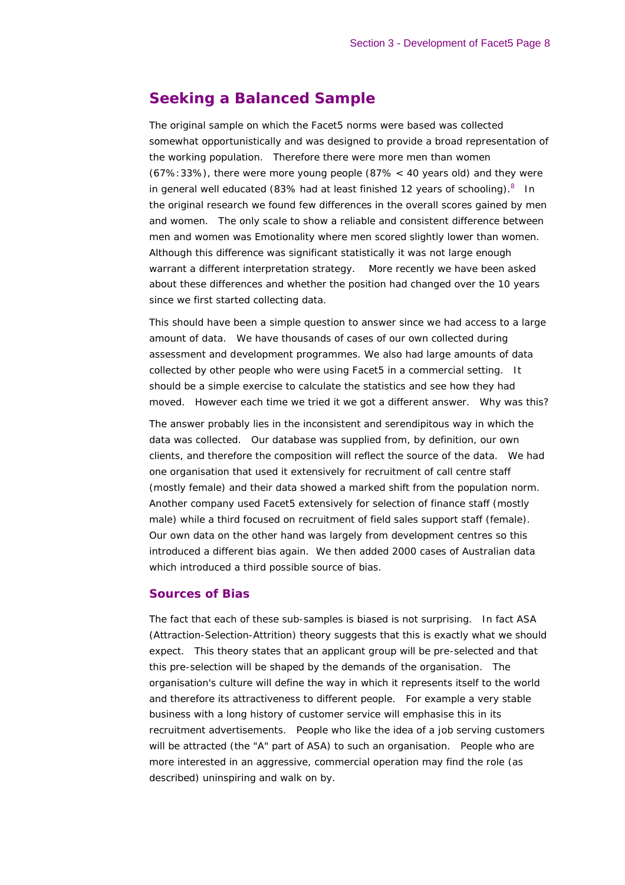# **Seeking a Balanced Sample**

The original sample on which the Facet5 norms were based was collected somewhat opportunistically and was designed to provide a broad representation of the working population. Therefore there were more men than women (67%:33%), there were more young people (87% < 40 years old) and they were in general well educated (83% had at least finished 12 years of schooling). $8$  In the original research we found few differences in the overall scores gained by men and women. The only scale to show a reliable and consistent difference between men and women was Emotionality where men scored slightly lower than women. Although this difference was significant statistically it was not large enough warrant a different interpretation strategy. More recently we have been asked about these differences and whether the position had changed over the 10 years since we first started collecting data.

This should have been a simple question to answer since we had access to a large amount of data. We have thousands of cases of our own collected during assessment and development programmes. We also had large amounts of data collected by other people who were using Facet5 in a commercial setting. It should be a simple exercise to calculate the statistics and see how they had moved. However each time we tried it we got a different answer. Why was this?

The answer probably lies in the inconsistent and serendipitous way in which the data was collected. Our database was supplied from, by definition, our own clients, and therefore the composition will reflect the source of the data. We had one organisation that used it extensively for recruitment of call centre staff (mostly female) and their data showed a marked shift from the population norm. Another company used Facet5 extensively for selection of finance staff (mostly male) while a third focused on recruitment of field sales support staff (female). Our own data on the other hand was largely from development centres so this introduced a different bias again. We then added 2000 cases of Australian data which introduced a third possible source of bias.

#### *Sources of Bias*

The fact that each of these sub-samples is biased is not surprising. In fact ASA (Attraction-Selection-Attrition) theory suggests that this is exactly what we should expect. This theory states that an applicant group will be pre-selected and that this pre-selection will be shaped by the demands of the organisation. The organisation's culture will define the way in which it represents itself to the world and therefore its attractiveness to different people. For example a very stable business with a long history of customer service will emphasise this in its recruitment advertisements. People who like the idea of a job serving customers will be attracted (the "A" part of ASA) to such an organisation. People who are more interested in an aggressive, commercial operation may find the role (as described) uninspiring and walk on by.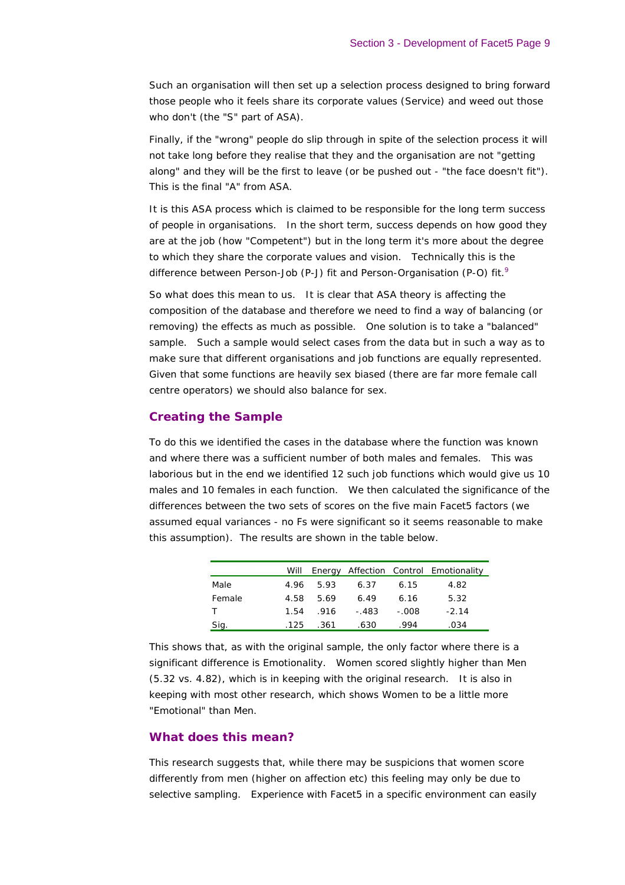Such an organisation will then set up a selection process designed to bring forward those people who it feels share its corporate values (Service) and weed out those who don't (the "S" part of ASA).

Finally, if the "wrong" people do slip through in spite of the selection process it will not take long before they realise that they and the organisation are not "getting along" and they will be the first to leave (or be pushed out - "the face doesn't fit"). This is the final "A" from ASA.

It is this ASA process which is claimed to be responsible for the long term success of people in organisations. In the short term, success depends on how good they are at the job (how "Competent") but in the long term it's more about the degree to which they share the corporate values and vision. Technically this is the difference between Person-Job (P-J) fit and Person-Organisation (P-O) fit.<sup>9</sup>

So what does this mean to us. It is clear that ASA theory is affecting the composition of the database and therefore we need to find a way of balancing (or removing) the effects as much as possible. One solution is to take a "balanced" sample. Such a sample would select cases from the data but in such a way as to make sure that different organisations and job functions are equally represented. Given that some functions are heavily sex biased (there are far more female call centre operators) we should also balance for sex.

#### *Creating the Sample*

To do this we identified the cases in the database where the function was known and where there was a sufficient number of both males and females. This was laborious but in the end we identified 12 such job functions which would give us 10 males and 10 females in each function. We then calculated the significance of the differences between the two sets of scores on the five main Facet5 factors (we assumed equal variances - no Fs were significant so it seems reasonable to make this assumption). The results are shown in the table below.

|        |      |           |       |       | Will Energy Affection Control Emotionality |
|--------|------|-----------|-------|-------|--------------------------------------------|
| Male   |      | 4.96 5.93 | 6.37  | 6.15  | 4.82                                       |
| Female | 4.58 | 5.69      | 6.49  | 6.16  | 5.32                                       |
|        | 1.54 | - 916     | - 483 | - 008 | $-2.14$                                    |
| Sig.   | .125 | .361      | .630  | .994  | .034                                       |

This shows that, as with the original sample, the only factor where there is a significant difference is Emotionality. Women scored slightly higher than Men (5.32 vs. 4.82), which is in keeping with the original research. It is also in keeping with most other research, which shows Women to be a little more "Emotional" than Men.

#### *What does this mean?*

This research suggests that, while there may be suspicions that women score differently from men (higher on affection etc) this feeling may only be due to selective sampling. Experience with Facet5 in a specific environment can easily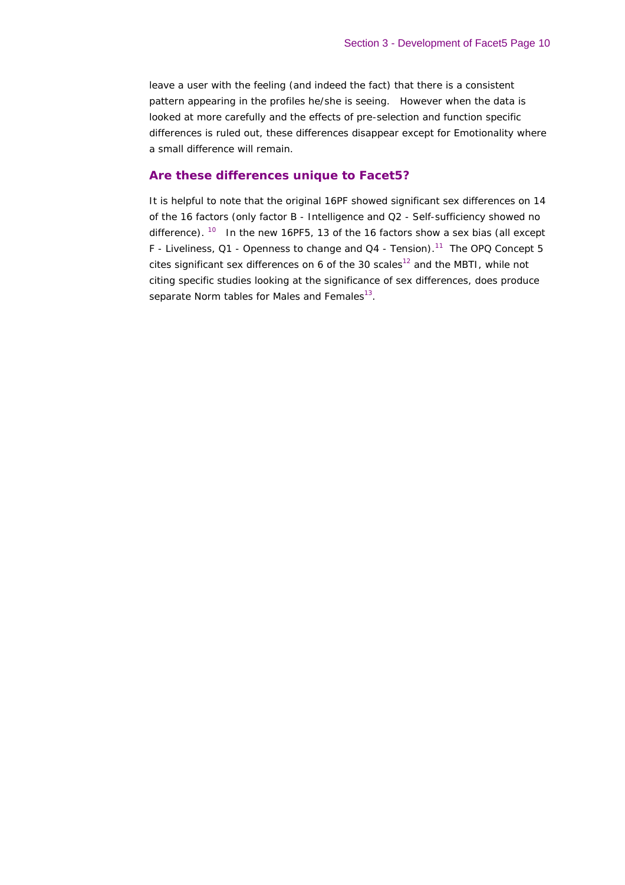leave a user with the feeling (and indeed the fact) that there is a consistent pattern appearing in the profiles he/she is seeing. However when the data is looked at more carefully and the effects of pre-selection and function specific differences is ruled out, these differences disappear except for Emotionality where a small difference will remain.

#### *Are these differences unique to Facet5?*

It is helpful to note that the original 16PF showed significant sex differences on 14 of the 16 factors (only factor B - Intelligence and Q2 - Self-sufficiency showed no difference).  $10$  In the new 16PF5, 13 of the 16 factors show a sex bias (all except F - Liveliness, Q1 - Openness to change and Q4 - Tension).<sup>11</sup> The OPQ Concept 5 cites significant sex differences on 6 of the 30 scales<sup>12</sup> and the MBTI, while not citing specific studies looking at the significance of sex differences, does produce separate Norm tables for Males and Females<sup>13</sup>.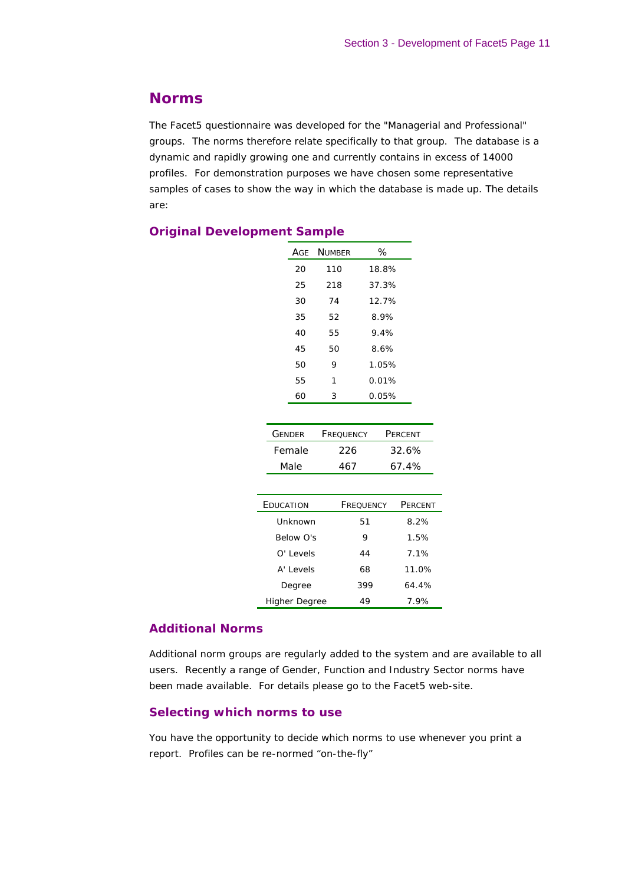# **Norms**

The Facet5 questionnaire was developed for the "Managerial and Professional" groups. The norms therefore relate specifically to that group. The database is a dynamic and rapidly growing one and currently contains in excess of 14000 profiles. For demonstration purposes we have chosen some representative samples of cases to show the way in which the database is made up. The details are:

## *Original Development Sample*

|    | AGE NUMBER | ℅     |
|----|------------|-------|
| 20 | 110        | 18.8% |
| 25 | 218        | 37.3% |
| 30 | 74         | 12.7% |
| 35 | 52         | 8.9%  |
| 40 | 55         | 9.4%  |
| 45 | 50         | 8.6%  |
| 50 | 9          | 1.05% |
| 55 | 1          | 0.01% |
| 60 | 3          | 0.05% |

| <b>GENDER</b> | <b>FREQUENCY</b> | PERCENT |
|---------------|------------------|---------|
| Female        | 226              | 32.6%   |
| Male          | 467              | 67.4%   |

| EDUCATION            | FREQUENCY | PERCENT |
|----------------------|-----------|---------|
| Unknown              | 51        | 8.2%    |
| Below O's            | 9         | 1.5%    |
| O' Levels            | 44        | 7.1%    |
| A' Levels            | 68        | 11.0%   |
| Degree               | 399       | 64.4%   |
| <b>Higher Degree</b> | 49        | 7.9%    |

#### *Additional Norms*

Additional norm groups are regularly added to the system and are available to all users. Recently a range of Gender, Function and Industry Sector norms have been made available. For details please go to the Facet5 web-site.

### *Selecting which norms to use*

You have the opportunity to decide which norms to use whenever you print a report. Profiles can be re-normed "on-the-fly"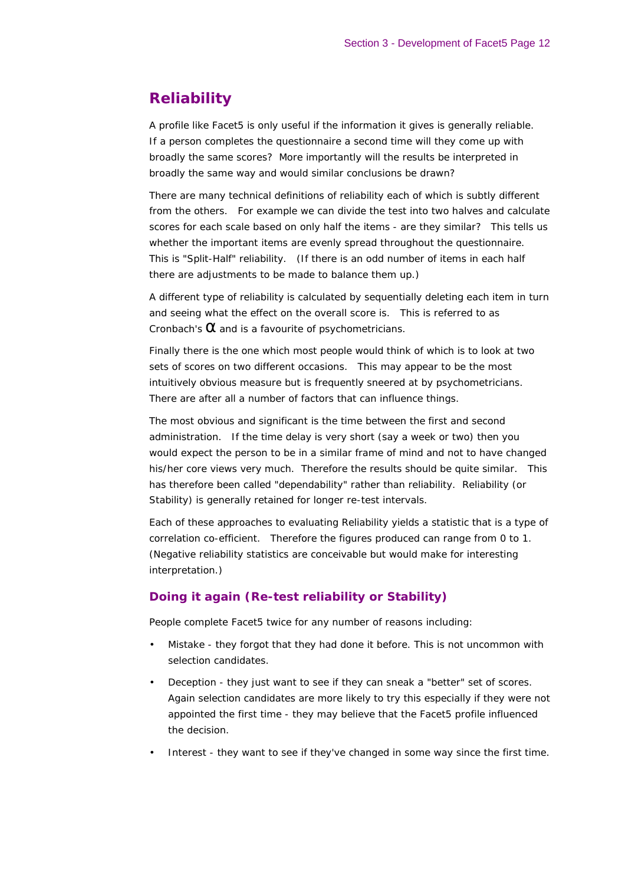# **Reliability**

A profile like Facet5 is only useful if the information it gives is generally reliable. If a person completes the questionnaire a second time will they come up with broadly the same scores? More importantly will the results be interpreted in broadly the same way and would similar conclusions be drawn?

There are many technical definitions of reliability each of which is subtly different from the others. For example we can divide the test into two halves and calculate scores for each scale based on only half the items - are they similar? This tells us whether the important items are evenly spread throughout the questionnaire. This is "Split-Half" reliability. (If there is an odd number of items in each half there are adjustments to be made to balance them up.)

A different type of reliability is calculated by sequentially deleting each item in turn and seeing what the effect on the overall score is. This is referred to as Cronbach's  $\alpha$  and is a favourite of psychometricians.

Finally there is the one which most people would think of which is to look at two sets of scores on two different occasions. This may appear to be the most intuitively obvious measure but is frequently sneered at by psychometricians. There are after all a number of factors that can influence things.

The most obvious and significant is the time between the first and second administration. If the time delay is very short (say a week or two) then you would expect the person to be in a similar frame of mind and not to have changed his/her core views very much. Therefore the results should be quite similar. This has therefore been called "dependability" rather than reliability. Reliability (or Stability) is generally retained for longer re-test intervals.

Each of these approaches to evaluating Reliability yields a statistic that is a type of correlation co-efficient. Therefore the figures produced can range from 0 to 1. (Negative reliability statistics are conceivable but would make for interesting interpretation.)

## *Doing it again (Re-test reliability or Stability)*

People complete Facet5 twice for any number of reasons including:

- Mistake they forgot that they had done it before. This is not uncommon with selection candidates.
- Deception they just want to see if they can sneak a "better" set of scores. Again selection candidates are more likely to try this especially if they were not appointed the first time - they may believe that the Facet5 profile influenced the decision.
- Interest they want to see if they've changed in some way since the first time.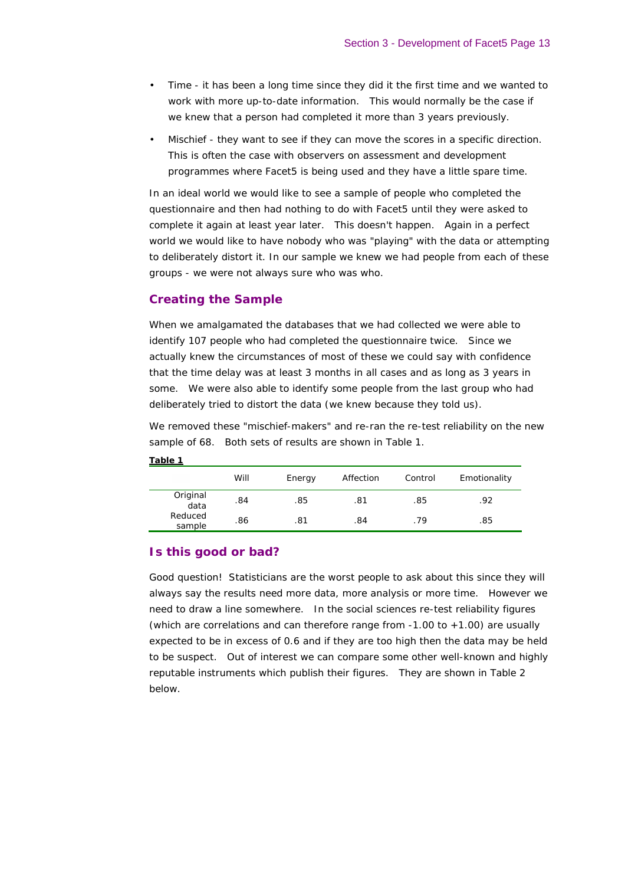- Time it has been a long time since they did it the first time and we wanted to work with more up-to-date information. This would normally be the case if we knew that a person had completed it more than 3 years previously.
- Mischief they want to see if they can move the scores in a specific direction. This is often the case with observers on assessment and development programmes where Facet5 is being used and they have a little spare time.

In an ideal world we would like to see a sample of people who completed the questionnaire and then had nothing to do with Facet5 until they were asked to complete it again at least year later. This doesn't happen. Again in a perfect world we would like to have nobody who was "playing" with the data or attempting to deliberately distort it. In our sample we knew we had people from each of these groups - we were not always sure who was who.

#### *Creating the Sample*

When we amalgamated the databases that we had collected we were able to identify 107 people who had completed the questionnaire twice. Since we actually knew the circumstances of most of these we could say with confidence that the time delay was at least 3 months in all cases and as long as 3 years in some. We were also able to identify some people from the last group who had deliberately tried to distort the data (we knew because they told us).

We removed these "mischief-makers" and re-ran the re-test reliability on the new sample of 68. Both sets of results are shown in Table 1.

|                   | Will | Energy | Affection | Control | Emotionality |
|-------------------|------|--------|-----------|---------|--------------|
| Original<br>data  | .84  | .85    | .81       | .85     | .92          |
| Reduced<br>sample | .86  | .81    | .84       | .79     | .85          |

#### **Table 1**

### *Is this good or bad?*

Good question! Statisticians are the worst people to ask about this since they will always say the results need more data, more analysis or more time. However we need to draw a line somewhere. In the social sciences re-test reliability figures (which are correlations and can therefore range from  $-1.00$  to  $+1.00$ ) are usually expected to be in excess of 0.6 and if they are too high then the data may be held to be suspect. Out of interest we can compare some other well-known and highly reputable instruments which publish their figures. They are shown in Table 2 below.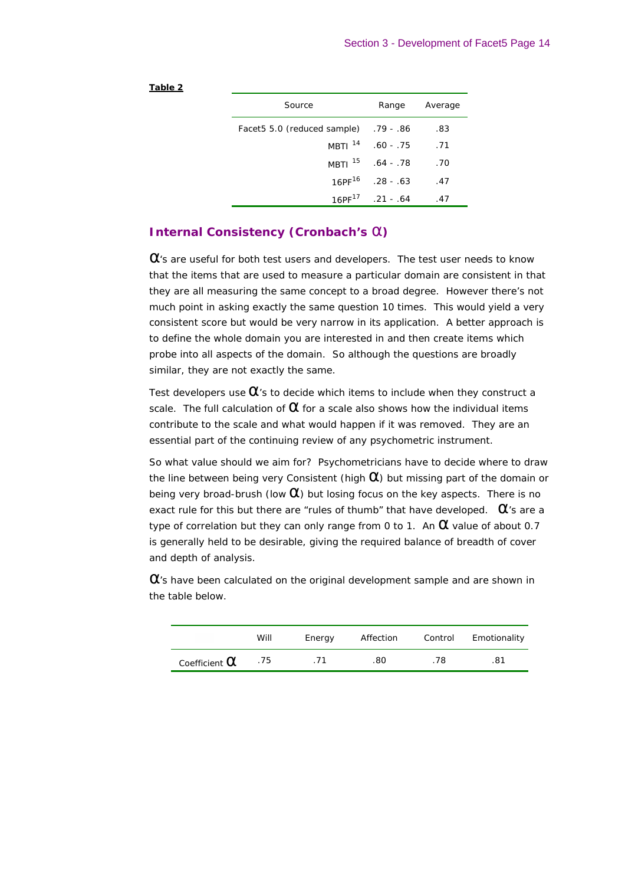#### **Table 2**

| Source                                | Range                        | Average |
|---------------------------------------|------------------------------|---------|
| 86. - 79. [acet5 5.0 (reduced sample) |                              | .83     |
|                                       | MBTI $14$ .60 - .75          | .71     |
|                                       | MBTI <sup>15</sup> .64 - .78 | .70     |
| $16PF^{16}$                           | .28 - .63                    | .47     |
|                                       | $16PF^{1/2}$ . 21 - .64      | .47     |

### *Internal Consistency (Cronbach's a)*

 $\alpha$ 's are useful for both test users and developers. The test user needs to know that the items that are used to measure a particular domain are consistent in that they are all measuring the same concept to a broad degree. However there's not much point in asking exactly the same question 10 times. This would yield a very consistent score but would be very narrow in its application. A better approach is to define the whole domain you are interested in and then create items which probe into all aspects of the domain. So although the questions are broadly similar, they are not exactly the same.

Test developers use  $\alpha$ 's to decide which items to include when they construct a scale. The full calculation of  $\alpha$  for a scale also shows how the individual items contribute to the scale and what would happen if it was removed. They are an essential part of the continuing review of any psychometric instrument.

So what value should we aim for? Psychometricians have to decide where to draw the line between being very Consistent (high  $\alpha$ ) but missing part of the domain or being very broad-brush (low  $\alpha$ ) but losing focus on the key aspects. There is no exact rule for this but there are "rules of thumb" that have developed.  $\alpha$ 's are a type of correlation but they can only range from 0 to 1. An  $\alpha$  value of about 0.7 is generally held to be desirable, giving the required balance of breadth of cover and depth of analysis.

 $\alpha$ 's have been calculated on the original development sample and are shown in the table below.

|                      | Will | Energy | Affection | Control | Emotionality |
|----------------------|------|--------|-----------|---------|--------------|
| Coefficient $\alpha$ | .75  |        | .80       | 78      | .81          |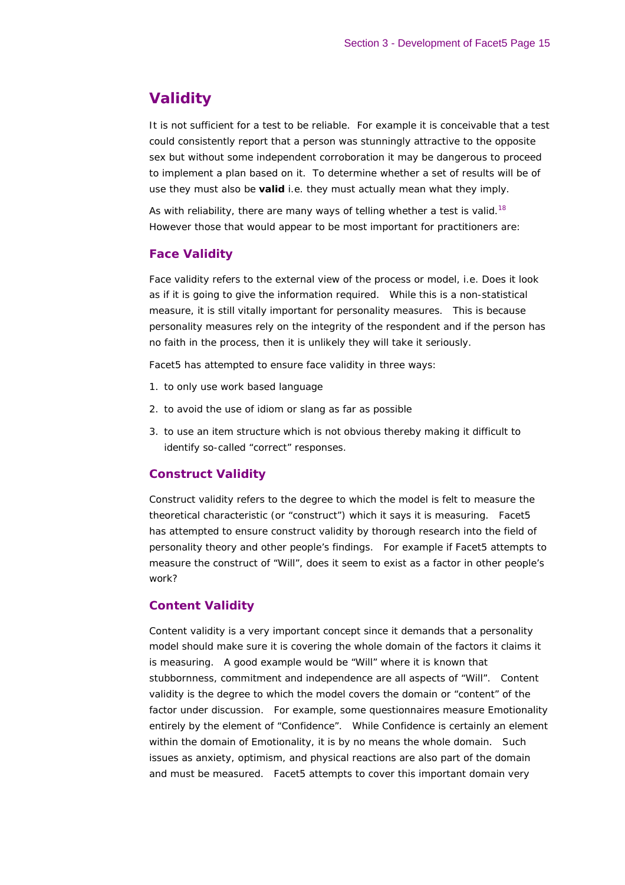# **Validity**

It is not sufficient for a test to be reliable. For example it is conceivable that a test could consistently report that a person was stunningly attractive to the opposite sex but without some independent corroboration it may be dangerous to proceed to implement a plan based on it. To determine whether a set of results will be of use they must also be **valid** i.e. they must actually mean what they imply.

As with reliability, there are many ways of telling whether a test is valid.<sup>18</sup> However those that would appear to be most important for practitioners are:

## *Face Validity*

Face validity refers to the external view of the process or model, i.e. Does it look as if it is going to give the information required. While this is a non-statistical measure, it is still vitally important for personality measures. This is because personality measures rely on the integrity of the respondent and if the person has no faith in the process, then it is unlikely they will take it seriously.

Facet5 has attempted to ensure face validity in three ways:

- 1. to only use work based language
- 2. to avoid the use of idiom or slang as far as possible
- 3. to use an item structure which is not obvious thereby making it difficult to identify so-called "correct" responses.

### *Construct Validity*

Construct validity refers to the degree to which the model is felt to measure the theoretical characteristic (or "construct") which it says it is measuring. Facet5 has attempted to ensure construct validity by thorough research into the field of personality theory and other people's findings. For example if Facet5 attempts to measure the construct of "Will", does it seem to exist as a factor in other people's work?

### *Content Validity*

Content validity is a very important concept since it demands that a personality model should make sure it is covering the whole domain of the factors it claims it is measuring. A good example would be "Will" where it is known that stubbornness, commitment and independence are all aspects of "Will". Content validity is the degree to which the model covers the domain or "content" of the factor under discussion. For example, some questionnaires measure Emotionality entirely by the element of "Confidence". While Confidence is certainly an element within the domain of Emotionality, it is by no means the whole domain. Such issues as anxiety, optimism, and physical reactions are also part of the domain and must be measured. Facet5 attempts to cover this important domain very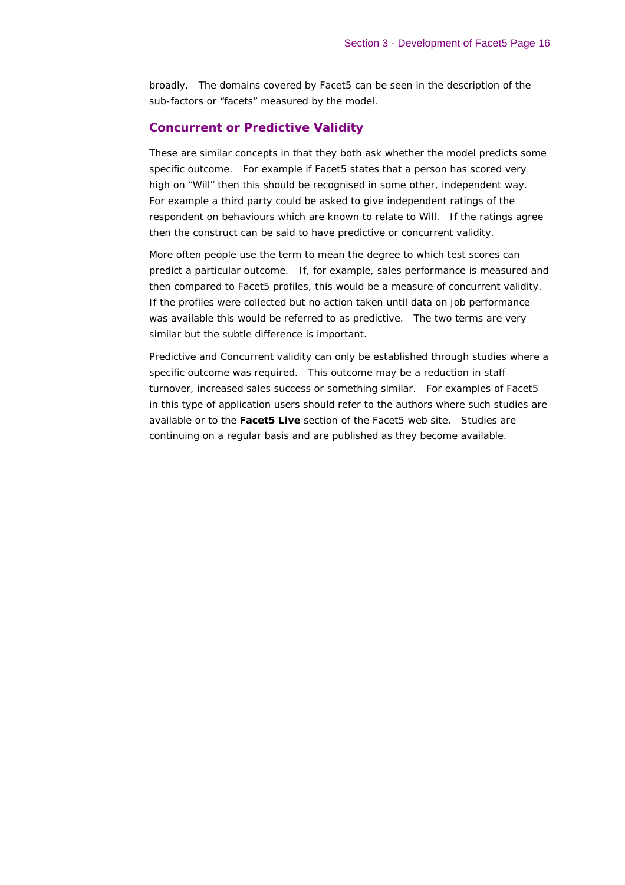broadly. The domains covered by Facet5 can be seen in the description of the sub-factors or "facets" measured by the model.

### *Concurrent or Predictive Validity*

These are similar concepts in that they both ask whether the model predicts some specific outcome. For example if Facet5 states that a person has scored very high on "Will" then this should be recognised in some other, independent way. For example a third party could be asked to give independent ratings of the respondent on behaviours which are known to relate to Will. If the ratings agree then the construct can be said to have predictive or concurrent validity.

More often people use the term to mean the degree to which test scores can predict a particular outcome. If, for example, sales performance is measured and then compared to Facet5 profiles, this would be a measure of concurrent validity. If the profiles were collected but no action taken until data on job performance was available this would be referred to as predictive. The two terms are very similar but the subtle difference is important.

Predictive and Concurrent validity can only be established through studies where a specific outcome was required. This outcome may be a reduction in staff turnover, increased sales success or something similar. For examples of Facet5 in this type of application users should refer to the authors where such studies are available or to the *Facet5 Live* section of the Facet5 web site. Studies are continuing on a regular basis and are published as they become available.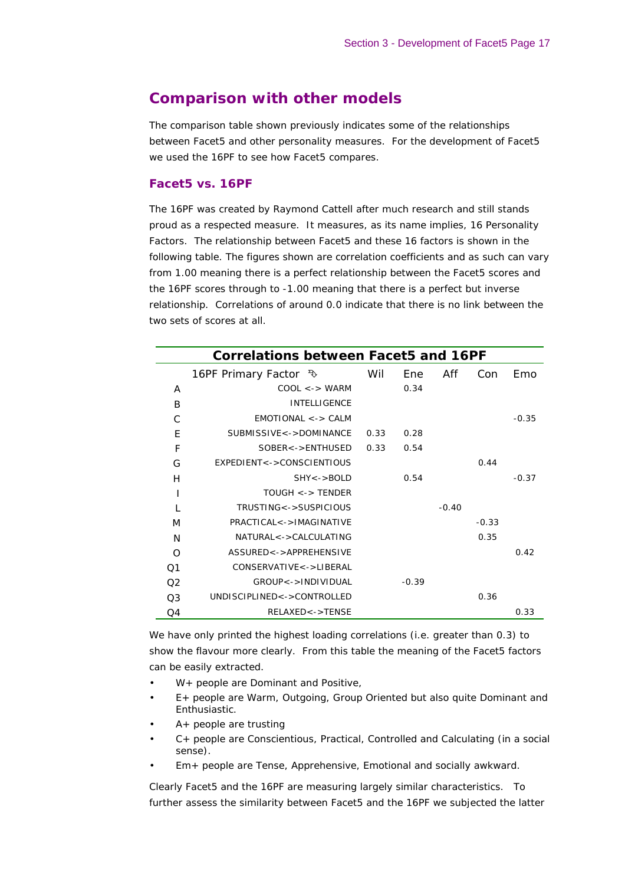# **Comparison with other models**

The comparison table shown previously indicates some of the relationships between Facet5 and other personality measures. For the development of Facet5 we used the 16PF to see how Facet5 compares.

#### *Facet5 vs. 16PF*

The 16PF was created by Raymond Cattell after much research and still stands proud as a respected measure. It measures, as its name implies, 16 Personality Factors. The relationship between Facet5 and these 16 factors is shown in the following table. The figures shown are correlation coefficients and as such can vary from 1.00 meaning there is a perfect relationship between the Facet5 scores and the 16PF scores through to -1.00 meaning that there is a perfect but inverse relationship. Correlations of around 0.0 indicate that there is no link between the two sets of scores at all.

|                | Correlations between Facet5 and 16PF |      |         |         |         |         |
|----------------|--------------------------------------|------|---------|---------|---------|---------|
|                | 16PF Primary Factor $\sqrt[3]{ }$    | Wil  | Ene     | Aff     | Con     | Emo     |
| A              | $COOL \leq -\geq WARM$               |      | 0.34    |         |         |         |
| B              | <b>INTELLIGENCE</b>                  |      |         |         |         |         |
| C              | $EMOTIONAL \lt - > CALM$             |      |         |         |         | $-0.35$ |
| E              | SUBMISSIVE<->DOMINANCE               | 0.33 | 0.28    |         |         |         |
| F              | SOBER<->ENTHUSED                     | 0.33 | 0.54    |         |         |         |
| G              | EXPEDIENT<->CONSCIENTIOUS            |      |         |         | 0.44    |         |
| H              | $SHY \le -> BOLD$                    |      | 0.54    |         |         | $-0.37$ |
| ı              | $TOUGH \lt -> TENDER$                |      |         |         |         |         |
| $\mathbf{I}$   | TRUSTING<->SUSPICIOUS                |      |         | $-0.40$ |         |         |
| M              | PRACTICAL<->IMAGINATIVE              |      |         |         | $-0.33$ |         |
| N              | $NATURAI <  >CAI CUI ATING$          |      |         |         | 0.35    |         |
| $\Omega$       | ASSURED<->APPREHENSIVE               |      |         |         |         | 0.42    |
| 01             | CONSERVATIVE<->LIBERAL               |      |         |         |         |         |
| O2             | GROUP<->INDIVIDUAL                   |      | $-0.39$ |         |         |         |
| O <sub>3</sub> | UNDISCIPLINED<->CONTROLLED           |      |         |         | 0.36    |         |
| O4             | $RELAXED < -$ FENSE                  |      |         |         |         | 0.33    |

We have only printed the highest loading correlations (i.e. greater than 0.3) to show the flavour more clearly. From this table the meaning of the Facet5 factors can be easily extracted.

- *W+ people are Dominant and Positive,*
- *E+ people are Warm, Outgoing, Group Oriented but also quite Dominant and Enthusiastic.*
- *A+ people are trusting*
- *C+ people are Conscientious, Practical, Controlled and Calculating (in a social sense).*
- *Em+ people are Tense, Apprehensive, Emotional and socially awkward.*

Clearly Facet5 and the 16PF are measuring largely similar characteristics. To further assess the similarity between Facet5 and the 16PF we subjected the latter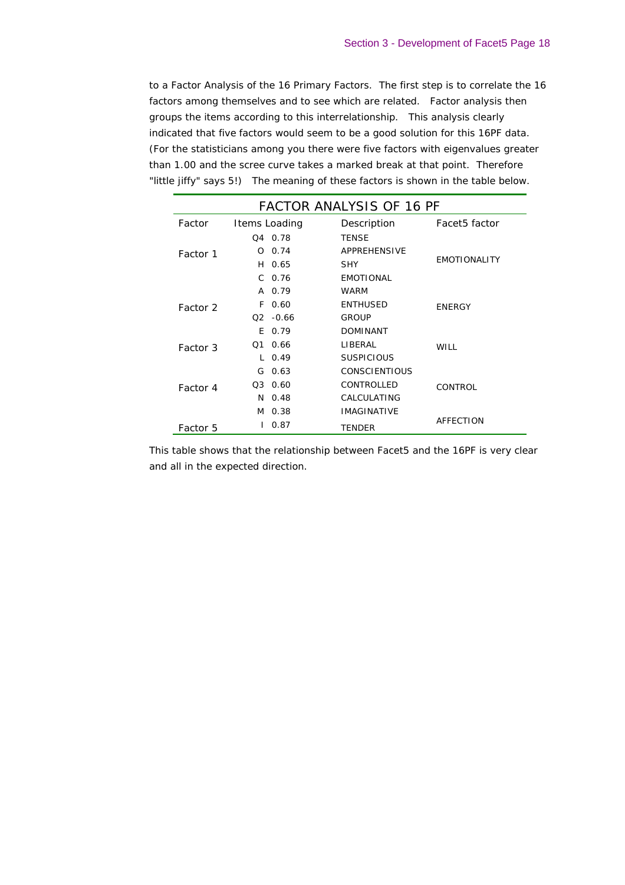to a Factor Analysis of the 16 Primary Factors. The first step is to correlate the 16 factors among themselves and to see which are related. Factor analysis then groups the items according to this interrelationship. This analysis clearly indicated that five factors would seem to be a good solution for this 16PF data. (For the statisticians among you there were five factors with eigenvalues greater than 1.00 and the scree curve takes a marked break at that point. Therefore "little jiffy" says 5!) The meaning of these factors is shown in the table below.

| <b>FACTOR ANALYSIS OF 16 PF</b> |                |         |                      |                     |  |  |
|---------------------------------|----------------|---------|----------------------|---------------------|--|--|
| Factor                          | Items Loading  |         | Description          | Facet5 factor       |  |  |
|                                 | 04 0.78        |         | <b>TENSE</b>         |                     |  |  |
| Factor 1                        | O              | 0.74    | APPREHENSIVE         |                     |  |  |
|                                 | H 0.65         |         | <b>SHY</b>           | <b>EMOTIONALITY</b> |  |  |
|                                 | $C$ 0.76       |         | <b>EMOTIONAL</b>     |                     |  |  |
|                                 | A 0.79         |         | <b>WARM</b>          |                     |  |  |
| Factor 2                        | F.             | 0.60    | <b>ENTHUSED</b>      | <b>ENERGY</b>       |  |  |
|                                 | O2 -           | $-0.66$ | <b>GROUP</b>         |                     |  |  |
|                                 | E 0.79         |         | <b>DOMINANT</b>      |                     |  |  |
| Factor 3                        | O <sub>1</sub> | 0.66    | LIBERAL              | WILL                |  |  |
|                                 | $L_{0.49}$     |         | <b>SUSPICIOUS</b>    |                     |  |  |
|                                 | G.             | 0.63    | <b>CONSCIENTIOUS</b> |                     |  |  |
| Factor 4                        | Q3 0.60        |         | CONTROLLED           | <b>CONTROL</b>      |  |  |
|                                 | $N$ 0.48       |         | CALCULATING          |                     |  |  |
|                                 | M 0.38         |         | <b>IMAGINATIVE</b>   |                     |  |  |
| Factor 5                        |                | 0.87    | <b>TENDER</b>        | AFFECTION           |  |  |

This table shows that the relationship between Facet5 and the 16PF is very clear and all in the expected direction.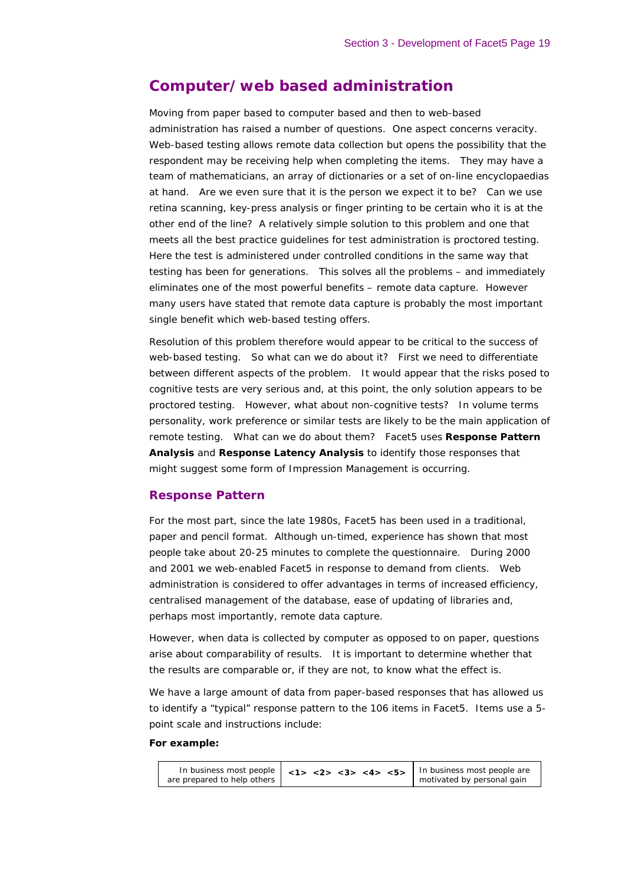# **Computer/web based administration**

Moving from paper based to computer based and then to web-based administration has raised a number of questions. One aspect concerns veracity. Web-based testing allows remote data collection but opens the possibility that the respondent may be receiving help when completing the items. They may have a team of mathematicians, an array of dictionaries or a set of on-line encyclopaedias at hand. Are we even sure that it is the person we expect it to be? Can we use retina scanning, key-press analysis or finger printing to be certain who it is at the other end of the line? A relatively simple solution to this problem and one that meets all the best practice guidelines for test administration is proctored testing. Here the test is administered under controlled conditions in the same way that testing has been for generations. This solves all the problems – and immediately eliminates one of the most powerful benefits – remote data capture. However many users have stated that remote data capture is probably the most important single benefit which web-based testing offers.

Resolution of this problem therefore would appear to be critical to the success of web-based testing. So what can we do about it? First we need to differentiate between different aspects of the problem. It would appear that the risks posed to cognitive tests are very serious and, at this point, the only solution appears to be proctored testing. However, what about non-cognitive tests? In volume terms personality, work preference or similar tests are likely to be the main application of remote testing. What can we do about them? Facet5 uses **Response Pattern Analysis** and **Response Latency Analysis** to identify those responses that might suggest some form of Impression Management is occurring.

### *Response Pattern*

For the most part, since the late 1980s, Facet5 has been used in a traditional, paper and pencil format. Although un-timed, experience has shown that most people take about 20-25 minutes to complete the questionnaire. During 2000 and 2001 we web-enabled Facet5 in response to demand from clients. Web administration is considered to offer advantages in terms of increased efficiency, centralised management of the database, ease of updating of libraries and, perhaps most importantly, remote data capture.

However, when data is collected by computer as opposed to on paper, questions arise about comparability of results. It is important to determine whether that the results are comparable or, if they are not, to know what the effect is.

We have a large amount of data from paper-based responses that has allowed us to identify a "typical" response pattern to the 106 items in Facet5. Items use a 5 point scale and instructions include:

#### *For example:*

|                             | In business most people $\vert$ <1> <2> <3> <4> <5> $\vert$ | In business most people are |
|-----------------------------|-------------------------------------------------------------|-----------------------------|
| are prepared to help others |                                                             | motivated by personal gain  |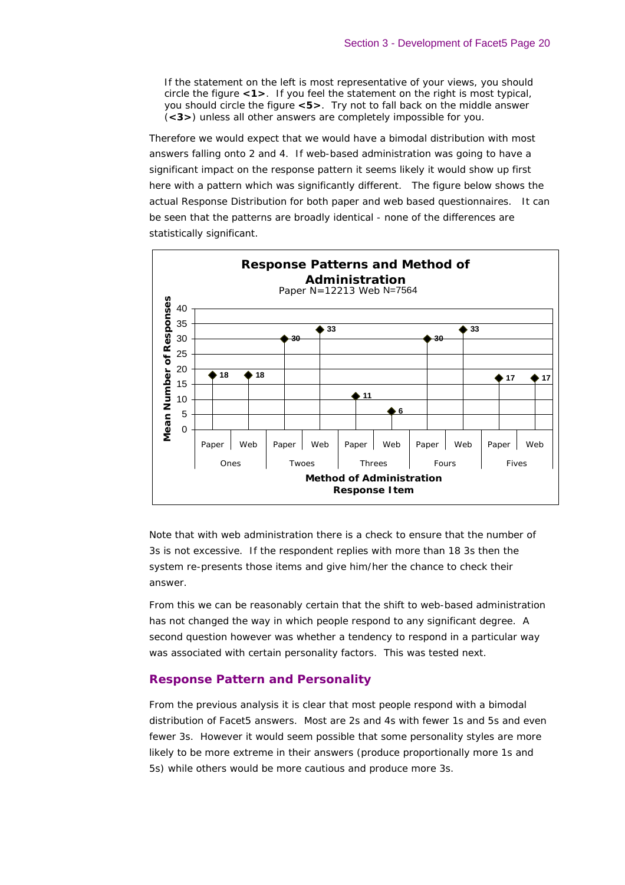*If the statement on the left is most representative of your views, you should circle the figure <1>. If you feel the statement on the right is most typical, you should circle the figure <5>. Try not to fall back on the middle answer (<3>) unless all other answers are completely impossible for you.*

Therefore we would expect that we would have a bimodal distribution with most answers falling onto 2 and 4. If web-based administration was going to have a significant impact on the response pattern it seems likely it would show up first here with a pattern which was significantly different. The figure below shows the actual Response Distribution for both paper and web based questionnaires. It can be seen that the patterns are broadly identical - none of the differences are statistically significant.



Note that with web administration there is a check to ensure that the number of 3s is not excessive. If the respondent replies with more than 18 3s then the system re-presents those items and give him/her the chance to check their answer.

From this we can be reasonably certain that the shift to web-based administration has not changed the way in which people respond to any significant degree. A second question however was whether a tendency to respond in a particular way was associated with certain personality factors. This was tested next.

#### *Response Pattern and Personality*

From the previous analysis it is clear that most people respond with a bimodal distribution of Facet5 answers. Most are 2s and 4s with fewer 1s and 5s and even fewer 3s. However it would seem possible that some personality styles are more likely to be more extreme in their answers (produce proportionally more 1s and 5s) while others would be more cautious and produce more 3s.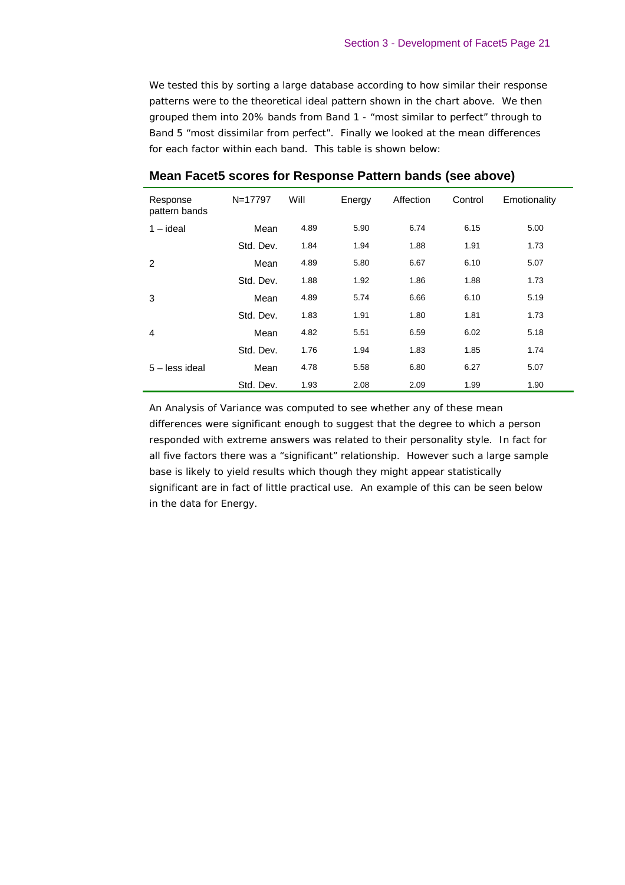We tested this by sorting a large database according to how similar their response patterns were to the theoretical ideal pattern shown in the chart above. We then grouped them into 20% bands from Band 1 - "most similar to perfect" through to Band 5 "most dissimilar from perfect". Finally we looked at the mean differences for each factor within each band. This table is shown below:

| Response<br>pattern bands | N=17797   | Will | Energy | Affection | Control | Emotionality |
|---------------------------|-----------|------|--------|-----------|---------|--------------|
| $1 - ideal$               | Mean      | 4.89 | 5.90   | 6.74      | 6.15    | 5.00         |
|                           | Std. Dev. | 1.84 | 1.94   | 1.88      | 1.91    | 1.73         |
| 2                         | Mean      | 4.89 | 5.80   | 6.67      | 6.10    | 5.07         |
|                           | Std. Dev. | 1.88 | 1.92   | 1.86      | 1.88    | 1.73         |
| 3                         | Mean      | 4.89 | 5.74   | 6.66      | 6.10    | 5.19         |
|                           | Std. Dev. | 1.83 | 1.91   | 1.80      | 1.81    | 1.73         |
| 4                         | Mean      | 4.82 | 5.51   | 6.59      | 6.02    | 5.18         |
|                           | Std. Dev. | 1.76 | 1.94   | 1.83      | 1.85    | 1.74         |
| $5 -$ less ideal          | Mean      | 4.78 | 5.58   | 6.80      | 6.27    | 5.07         |
|                           | Std. Dev. | 1.93 | 2.08   | 2.09      | 1.99    | 1.90         |

# **Mean Facet5 scores for Response Pattern bands (see above)**

An Analysis of Variance was computed to see whether any of these mean differences were significant enough to suggest that the degree to which a person responded with extreme answers was related to their personality style. In fact for all five factors there was a "significant" relationship. However such a large sample base is likely to yield results which though they might appear statistically significant are in fact of little practical use. An example of this can be seen below in the data for Energy.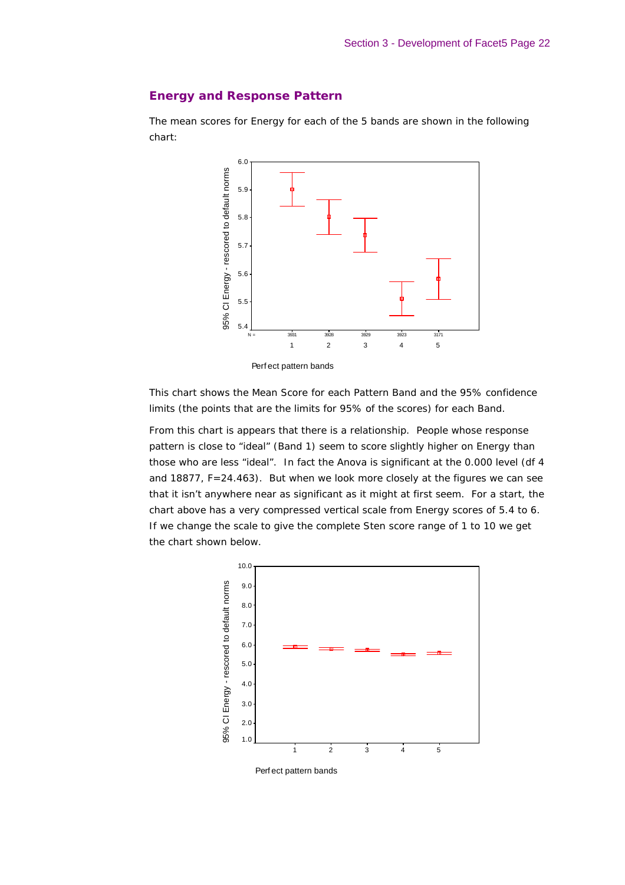### *Energy and Response Pattern*

The mean scores for Energy for each of the 5 bands are shown in the following chart:



This chart shows the Mean Score for each Pattern Band and the 95% confidence

limits (the points that are the limits for 95% of the scores) for each Band.

From this chart is appears that there is a relationship. People whose response pattern is close to "ideal" (Band 1) seem to score slightly higher on Energy than those who are less "ideal". In fact the Anova is significant at the 0.000 level (df 4 and 18877, F=24.463). But when we look more closely at the figures we can see that it isn't anywhere near as significant as it might at first seem. For a start, the chart above has a very compressed vertical scale from Energy scores of 5.4 to 6. If we change the scale to give the complete Sten score range of 1 to 10 we get the chart shown below.



Perf ect pattern bands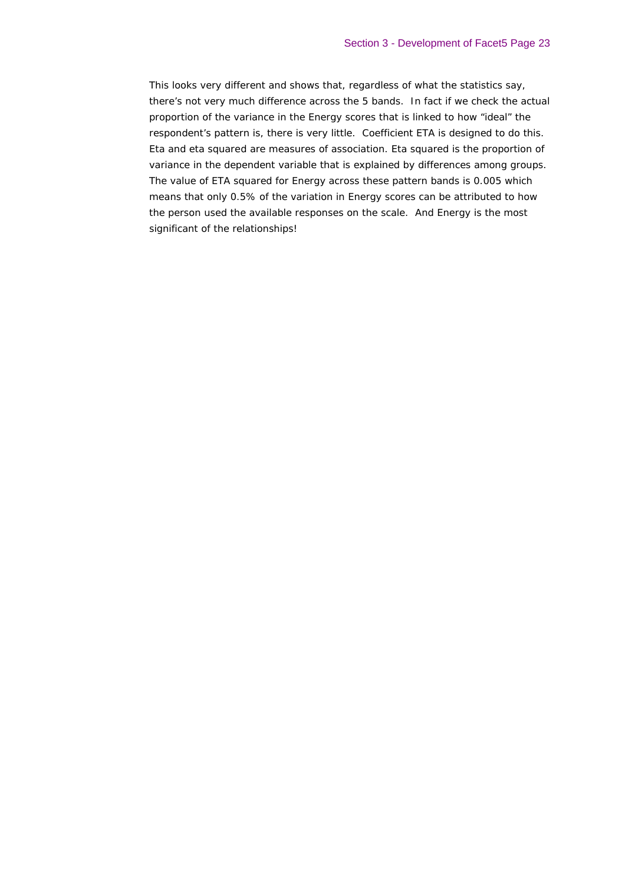This looks very different and shows that, regardless of what the statistics say, there's not very much difference across the 5 bands. In fact if we check the actual proportion of the variance in the Energy scores that is linked to how "ideal" the respondent's pattern is, there is very little. Coefficient ETA is designed to do this. Eta and eta squared are measures of association. Eta squared is the proportion of variance in the dependent variable that is explained by differences among groups. The value of ETA squared for Energy across these pattern bands is 0.005 which means that only 0.5% of the variation in Energy scores can be attributed to how the person used the available responses on the scale. And Energy is the most significant of the relationships!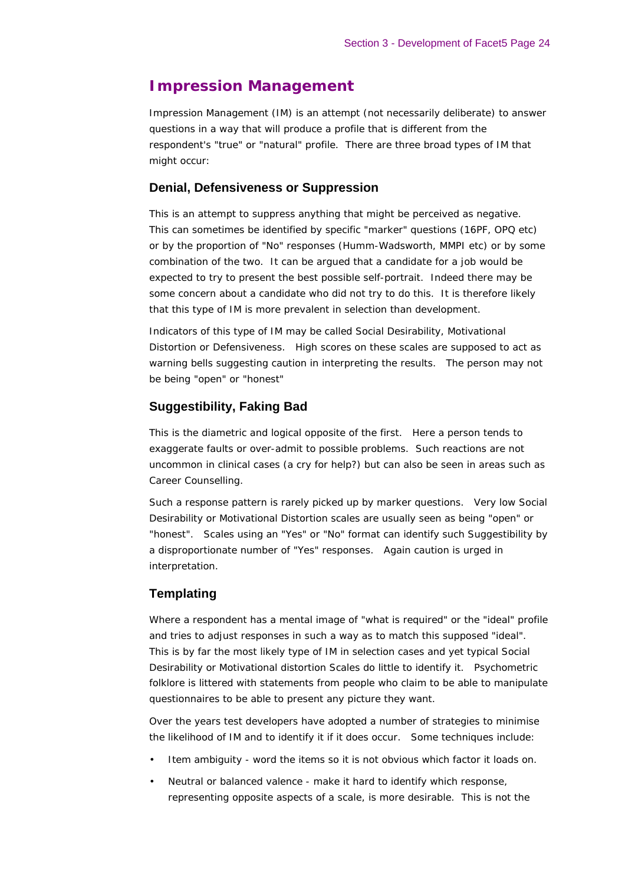# **Impression Management**

Impression Management (IM) is an attempt (not necessarily deliberate) to answer questions in a way that will produce a profile that is different from the respondent's "true" or "natural" profile. There are three broad types of IM that might occur:

#### **Denial, Defensiveness or Suppression**

This is an attempt to suppress anything that might be perceived as negative. This can sometimes be identified by specific "marker" questions (16PF, OPQ etc) or by the proportion of "No" responses (Humm-Wadsworth, MMPI etc) or by some combination of the two. It can be argued that a candidate for a job would be expected to try to present the best possible self-portrait. Indeed there may be some concern about a candidate who did not try to do this. It is therefore likely that this type of IM is more prevalent in selection than development.

Indicators of this type of IM may be called Social Desirability, Motivational Distortion or Defensiveness. High scores on these scales are supposed to act as warning bells suggesting caution in interpreting the results. The person may not be being "open" or "honest"

#### **Suggestibility, Faking Bad**

This is the diametric and logical opposite of the first. Here a person tends to exaggerate faults or over-admit to possible problems. Such reactions are not uncommon in clinical cases (a cry for help?) but can also be seen in areas such as Career Counselling.

Such a response pattern is rarely picked up by marker questions. Very low Social Desirability or Motivational Distortion scales are usually seen as being "open" or "honest". Scales using an "Yes" or "No" format can identify such Suggestibility by a disproportionate number of "Yes" responses. Again caution is urged in interpretation.

### **Templating**

Where a respondent has a mental image of "what is required" or the "ideal" profile and tries to adjust responses in such a way as to match this supposed "ideal". This is by far the most likely type of IM in selection cases and yet typical Social Desirability or Motivational distortion Scales do little to identify it. Psychometric folklore is littered with statements from people who claim to be able to manipulate questionnaires to be able to present any picture they want.

Over the years test developers have adopted a number of strategies to minimise the likelihood of IM and to identify it if it does occur. Some techniques include:

- Item ambiguity word the items so it is not obvious which factor it loads on.
- Neutral or balanced valence make it hard to identify which response, representing opposite aspects of a scale, is more desirable. This is not the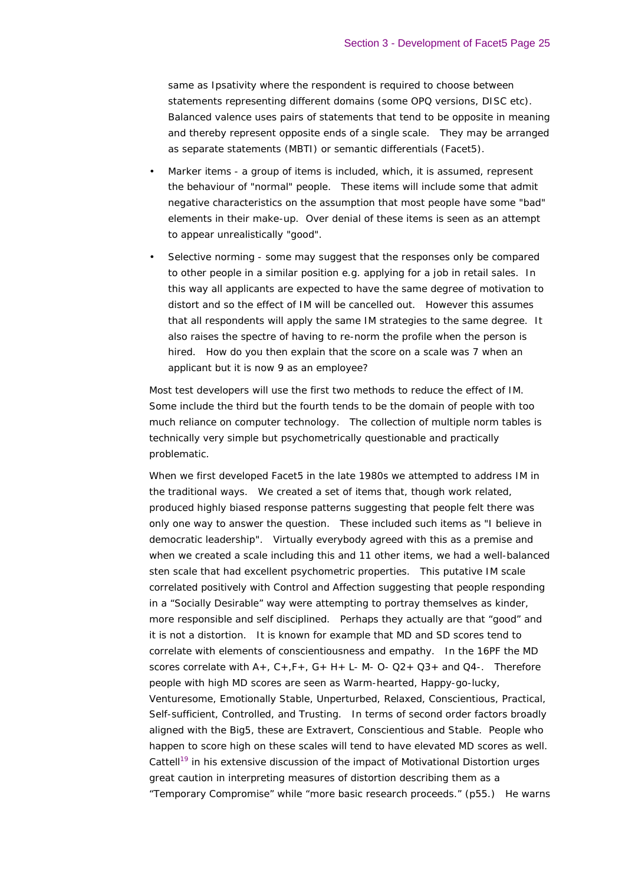same as Ipsativity where the respondent is required to choose between statements representing different domains (some OPQ versions, DISC etc). Balanced valence uses pairs of statements that tend to be opposite in meaning and thereby represent opposite ends of a single scale. They may be arranged as separate statements (MBTI) or semantic differentials (Facet5).

- Marker items a group of items is included, which, it is assumed, represent the behaviour of "normal" people. These items will include some that admit negative characteristics on the assumption that most people have some "bad" elements in their make-up. Over denial of these items is seen as an attempt to appear unrealistically "good".
- Selective norming some may suggest that the responses only be compared to other people in a similar position e.g. applying for a job in retail sales. In this way all applicants are expected to have the same degree of motivation to distort and so the effect of IM will be cancelled out. However this assumes that all respondents will apply the same IM strategies to the same degree. It also raises the spectre of having to re-norm the profile when the person is hired. How do you then explain that the score on a scale was 7 when an applicant but it is now 9 as an employee?

Most test developers will use the first two methods to reduce the effect of IM. Some include the third but the fourth tends to be the domain of people with too much reliance on computer technology. The collection of multiple norm tables is technically very simple but psychometrically questionable and practically problematic.

When we first developed Facet5 in the late 1980s we attempted to address IM in the traditional ways. We created a set of items that, though work related, produced highly biased response patterns suggesting that people felt there was only one way to answer the question. These included such items as "*I believe in democratic leadership*". Virtually everybody agreed with this as a premise and when we created a scale including this and 11 other items, we had a well-balanced sten scale that had excellent psychometric properties. This putative IM scale correlated positively with Control and Affection suggesting that people responding in a "Socially Desirable" way were attempting to portray themselves as kinder, more responsible and self disciplined. Perhaps they actually are that "good" and it is not a distortion. It is known for example that MD and SD scores tend to correlate with elements of conscientiousness and empathy. In the 16PF the MD scores correlate with  $A_+$ ,  $C_+$ ,  $F_+$ ,  $G_+$  H + L- M- O-  $Q2_+$   $Q3_+$  and  $Q4_-$ . Therefore people with high MD scores are seen as Warm-hearted, Happy-go-lucky, Venturesome, Emotionally Stable, Unperturbed, Relaxed, Conscientious, Practical, Self-sufficient, Controlled, and Trusting. In terms of second order factors broadly aligned with the Big5, these are Extravert, Conscientious and Stable. People who happen to score high on these scales will tend to have elevated MD scores as well. Cattell<sup>19</sup> in his extensive discussion of the impact of Motivational Distortion urges great caution in interpreting measures of distortion describing them as a "Temporary Compromise" while "more basic research proceeds." (p55.) He warns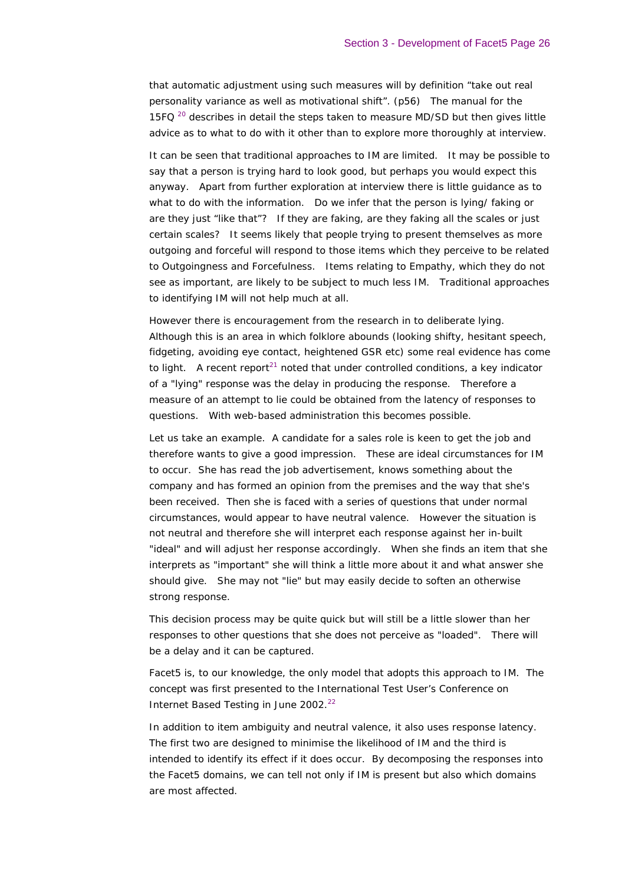that automatic adjustment using such measures will by definition "*take out real personality variance as well as motivational shift*". (p56) The manual for the 15FQ  $20$  describes in detail the steps taken to measure MD/SD but then gives little advice as to what to do with it other than to explore more thoroughly at interview.

It can be seen that traditional approaches to IM are limited. It may be possible to say that a person is trying hard to look good, but perhaps you would expect this anyway. Apart from further exploration at interview there is little guidance as to what to do with the information. Do we infer that the person is lying/ faking or are they just "like that"? If they are faking, are they faking all the scales or just certain scales? It seems likely that people trying to present themselves as more outgoing and forceful will respond to those items which they perceive to be related to Outgoingness and Forcefulness. Items relating to Empathy, which they do not see as important, are likely to be subject to much less IM. Traditional approaches to identifying IM will not help much at all.

However there is encouragement from the research in to deliberate lying. Although this is an area in which folklore abounds (looking shifty, hesitant speech, fidgeting, avoiding eye contact, heightened GSR etc) some real evidence has come to light. A recent report<sup>21</sup> noted that under controlled conditions, a key indicator of a "lying" response was the delay in producing the response. Therefore a measure of an attempt to lie could be obtained from the latency of responses to questions. With web-based administration this becomes possible.

Let us take an example. A candidate for a sales role is keen to get the job and therefore wants to give a good impression. These are ideal circumstances for IM to occur. She has read the job advertisement, knows something about the company and has formed an opinion from the premises and the way that she's been received. Then she is faced with a series of questions that under normal circumstances, would appear to have neutral valence. However the situation is not neutral and therefore she will interpret each response against her in-built "ideal" and will adjust her response accordingly. When she finds an item that she interprets as "important" she will think a little more about it and what answer she should give. She may not "lie" but may easily decide to soften an otherwise strong response.

This decision process may be quite quick but will still be a little slower than her responses to other questions that she does not perceive as "loaded". There will be a delay and it can be captured.

Facet5 is, to our knowledge, the only model that adopts this approach to IM. The concept was first presented to the International Test User's Conference on Internet Based Testing in June 2002.<sup>22</sup>

In addition to item ambiguity and neutral valence, it also uses response latency. The first two are designed to minimise the likelihood of IM and the third is intended to identify its effect if it does occur. By decomposing the responses into the Facet5 domains, we can tell not only if IM is present but also which domains are most affected.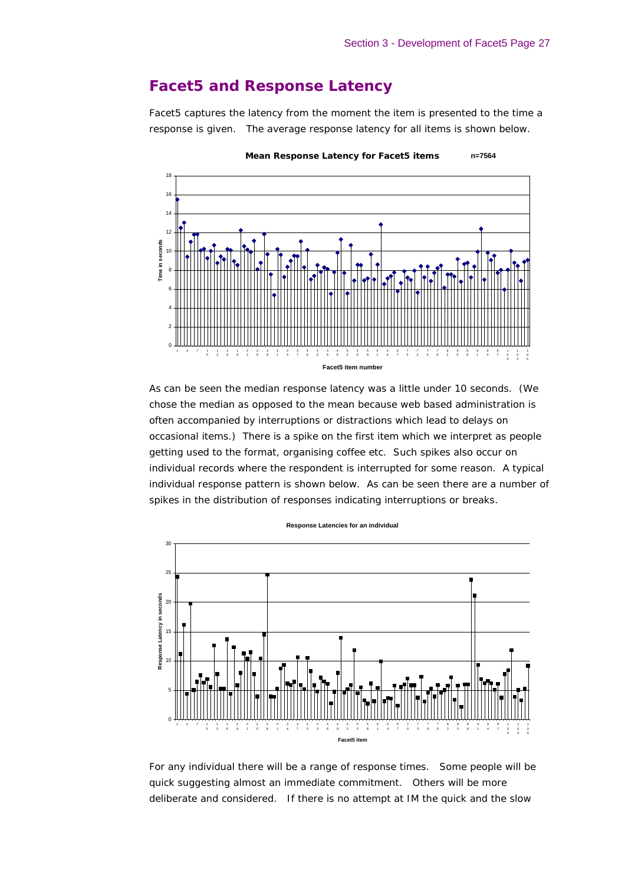# **Facet5 and Response Latency**

Facet5 captures the latency from the moment the item is presented to the time a response is given. The average response latency for all items is shown below.



As can be seen the median response latency was a little under 10 seconds. (We chose the median as opposed to the mean because web based administration is often accompanied by interruptions or distractions which lead to delays on occasional items.) There is a spike on the first item which we interpret as people getting used to the format, organising coffee etc. Such spikes also occur on individual records where the respondent is interrupted for some reason. A typical individual response pattern is shown below. As can be seen there are a number of spikes in the distribution of responses indicating interruptions or breaks.



**Response Latencies for an individual**

For any individual there will be a range of response times. Some people will be quick suggesting almost an immediate commitment. Others will be more deliberate and considered. If there is no attempt at IM the quick and the slow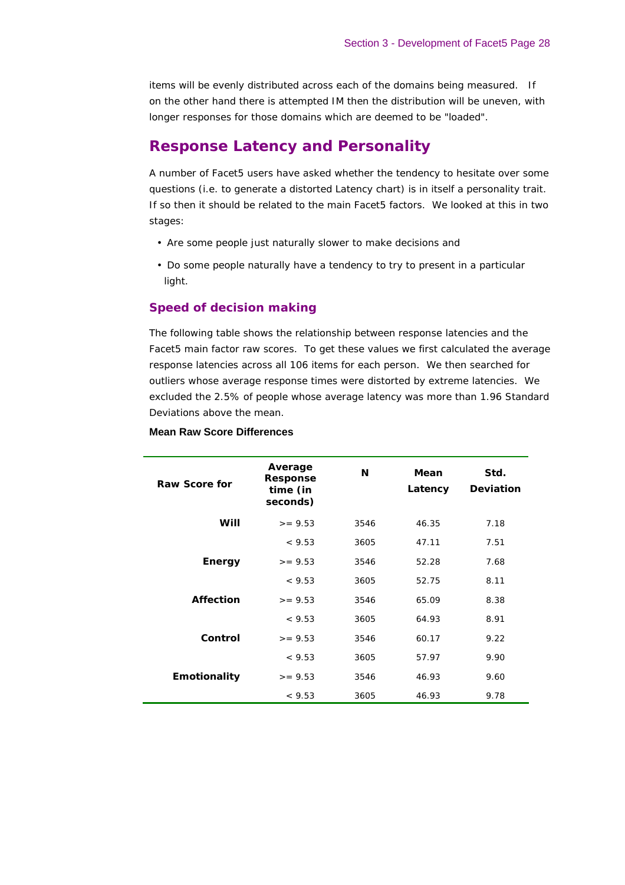items will be evenly distributed across each of the domains being measured. If on the other hand there is attempted IM then the distribution will be uneven, with longer responses for those domains which are deemed to be "loaded".

# **Response Latency and Personality**

A number of Facet5 users have asked whether the tendency to hesitate over some questions (i.e. to generate a distorted Latency chart) is in itself a personality trait. If so then it should be related to the main Facet5 factors. We looked at this in two stages:

- Are some people just naturally slower to make decisions and
- Do some people naturally have a tendency to try to present in a particular light.

### *Speed of decision making*

The following table shows the relationship between response latencies and the Facet5 main factor raw scores. To get these values we first calculated the average response latencies across all 106 items for each person. We then searched for outliers whose average response times were distorted by extreme latencies. We excluded the 2.5% of people whose average latency was more than 1.96 Standard Deviations above the mean.

| Raw Score for    | Average<br><b>Response</b><br>time (in<br>seconds) | N    | Mean<br>Latency | Std.<br><b>Deviation</b> |
|------------------|----------------------------------------------------|------|-----------------|--------------------------|
| Will             | $>= 9.53$                                          | 3546 | 46.35           | 7.18                     |
|                  | < 9.53                                             | 3605 | 47.11           | 7.51                     |
| <b>Energy</b>    | $>= 9.53$                                          | 3546 | 52.28           | 7.68                     |
|                  | < 9.53                                             | 3605 | 52.75           | 8.11                     |
| <b>Affection</b> | $>= 9.53$                                          | 3546 | 65.09           | 8.38                     |
|                  | < 9.53                                             | 3605 | 64.93           | 8.91                     |
| Control          | $>= 9.53$                                          | 3546 | 60.17           | 9.22                     |
|                  | < 9.53                                             | 3605 | 57.97           | 9.90                     |
| Emotionality     | $>= 9.53$                                          | 3546 | 46.93           | 9.60                     |
|                  | < 9.53                                             | 3605 | 46.93           | 9.78                     |

### **Mean Raw Score Differences**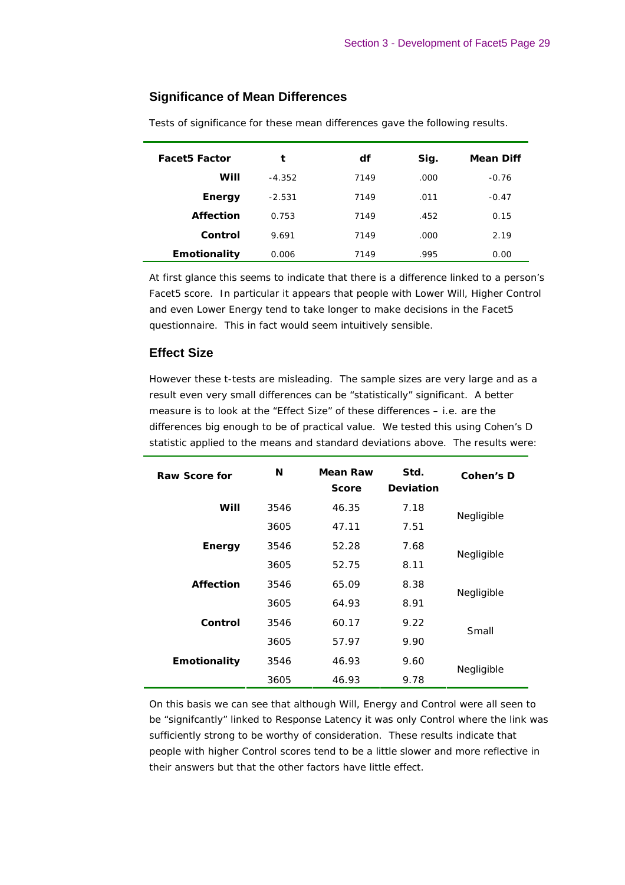### **Significance of Mean Differences**

| <b>Facet5 Factor</b> | t        | df   | Sig. | <b>Mean Diff</b> |
|----------------------|----------|------|------|------------------|
| Will                 | $-4.352$ | 7149 | .000 | $-0.76$          |
| <b>Energy</b>        | $-2.531$ | 7149 | .011 | $-0.47$          |
| <b>Affection</b>     | 0.753    | 7149 | .452 | 0.15             |
| Control              | 9.691    | 7149 | .000 | 2.19             |
| <b>Emotionality</b>  | 0.006    | 7149 | .995 | 0.00             |

Tests of significance for these mean differences gave the following results.

At first glance this seems to indicate that there is a difference linked to a person's Facet5 score. In particular it appears that people with Lower Will, Higher Control and even Lower Energy tend to take longer to make decisions in the Facet5 questionnaire. This in fact would seem intuitively sensible.

### **Effect Size**

However these t-tests are misleading. The sample sizes are very large and as a result even very small differences can be "statistically" significant. A better measure is to look at the "Effect Size" of these differences – i.e. are the differences big enough to be of practical value. We tested this using Cohen's D statistic applied to the means and standard deviations above. The results were:

| <b>Raw Score for</b> | N    | Mean Raw<br><b>Score</b> | Std.<br><b>Deviation</b> | Cohen's D  |
|----------------------|------|--------------------------|--------------------------|------------|
| Will                 | 3546 | 46.35                    | 7.18                     | Negligible |
|                      | 3605 | 47.11                    | 7.51                     |            |
| <b>Energy</b>        | 3546 | 52.28                    | 7.68                     | Negligible |
|                      | 3605 | 52.75                    | 8.11                     |            |
| <b>Affection</b>     | 3546 | 65.09                    | 8.38                     | Negligible |
|                      | 3605 | 64.93                    | 8.91                     |            |
| Control              | 3546 | 60.17                    | 9.22                     | Small      |
|                      | 3605 | 57.97                    | 9.90                     |            |
| Emotionality         | 3546 | 46.93                    | 9.60                     | Negligible |
|                      | 3605 | 46.93                    | 9.78                     |            |

On this basis we can see that although Will, Energy and Control were all seen to be "signifcantly" linked to Response Latency it was only Control where the link was sufficiently strong to be worthy of consideration. These results indicate that people with higher Control scores tend to be a little slower and more reflective in their answers but that the other factors have little effect.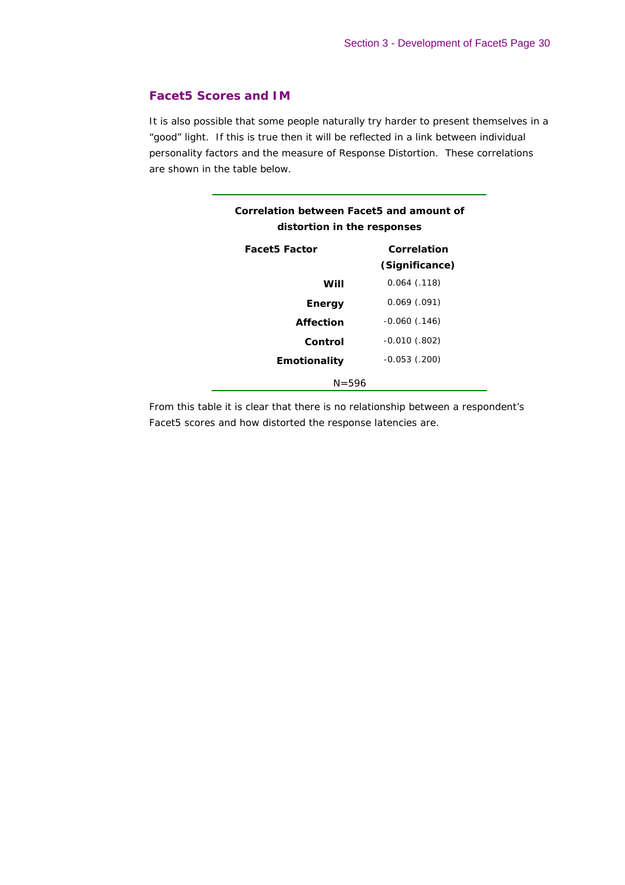### *Facet5 Scores and IM*

It is also possible that some people naturally try harder to present themselves in a "good" light. If this is true then it will be reflected in a link between individual personality factors and the measure of Response Distortion. These correlations are shown in the table below.

| Correlation between Facet5 and amount of<br>distortion in the responses |                               |  |  |  |  |  |
|-------------------------------------------------------------------------|-------------------------------|--|--|--|--|--|
| <b>Facet5 Factor</b>                                                    | Correlation<br>(Significance) |  |  |  |  |  |
| Will                                                                    | $0.064$ $(.118)$              |  |  |  |  |  |
| Energy                                                                  | $0.069$ (.091)                |  |  |  |  |  |
| Affection                                                               | $-0.060$ (.146)               |  |  |  |  |  |
| Control                                                                 | $-0.010$ (.802)               |  |  |  |  |  |
| <b>Emotionality</b>                                                     | $-0.053$ $(.200)$             |  |  |  |  |  |
| $N = 596$                                                               |                               |  |  |  |  |  |

From this table it is clear that there is no relationship between a respondent's Facet5 scores and how distorted the response latencies are.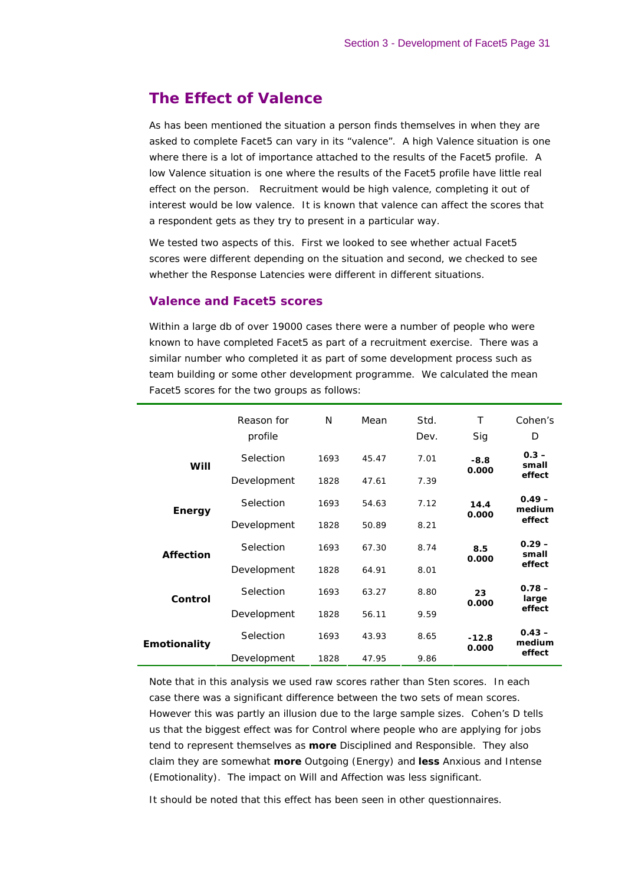# **The Effect of Valence**

As has been mentioned the situation a person finds themselves in when they are asked to complete Facet5 can vary in its "valence". A high Valence situation is one where there is a lot of importance attached to the results of the Facet5 profile. A low Valence situation is one where the results of the Facet5 profile have little real effect on the person. Recruitment would be high valence, completing it out of interest would be low valence. It is known that valence can affect the scores that a respondent gets as they try to present in a particular way.

We tested two aspects of this. First we looked to see whether actual Facet5 scores were different depending on the situation and second, we checked to see whether the Response Latencies were different in different situations.

#### *Valence and Facet5 scores*

Within a large db of over 19000 cases there were a number of people who were known to have completed Facet5 as part of a recruitment exercise. There was a similar number who completed it as part of some development process such as team building or some other development programme. We calculated the mean Facet5 scores for the two groups as follows:

|                     | Reason for<br>profile | N    | Mean  | Std.<br>Dev. | т<br>Sig | Cohen's<br>D       |
|---------------------|-----------------------|------|-------|--------------|----------|--------------------|
| Will                | Selection             | 1693 | 45.47 | 7.01         | $-8.8$   | $0.3 -$<br>small   |
|                     | Development           | 1828 | 47.61 | 7.39         | 0.000    | effect             |
| <b>Energy</b>       | Selection             | 1693 | 54.63 | 7.12         | 14.4     | $0.49 -$<br>medium |
|                     | Development           | 1828 | 50.89 | 8.21         | 0.000    | effect             |
| <b>Affection</b>    | Selection             | 1693 | 67.30 | 8.74         | 8.5      | $0.29 -$<br>small  |
|                     | Development           | 1828 | 64.91 | 8.01         | 0.000    | effect             |
| Control             | Selection             | 1693 | 63.27 | 8.80         | 23       | $0.78 -$<br>large  |
|                     | Development           | 1828 | 56.11 | 9.59         | 0.000    | effect             |
| <b>Emotionality</b> | Selection             | 1693 | 43.93 | 8.65         | $-12.8$  | $0.43 -$<br>medium |
|                     | Development           | 1828 | 47.95 | 9.86         | 0.000    | effect             |

Note that in this analysis we used raw scores rather than Sten scores. In each case there was a significant difference between the two sets of mean scores. However this was partly an illusion due to the large sample sizes. Cohen's D tells us that the biggest effect was for Control where people who are applying for jobs tend to represent themselves as **more** Disciplined and Responsible. They also claim they are somewhat **more** Outgoing (Energy) and **less** Anxious and Intense (Emotionality). The impact on Will and Affection was less significant.

It should be noted that this effect has been seen in other questionnaires.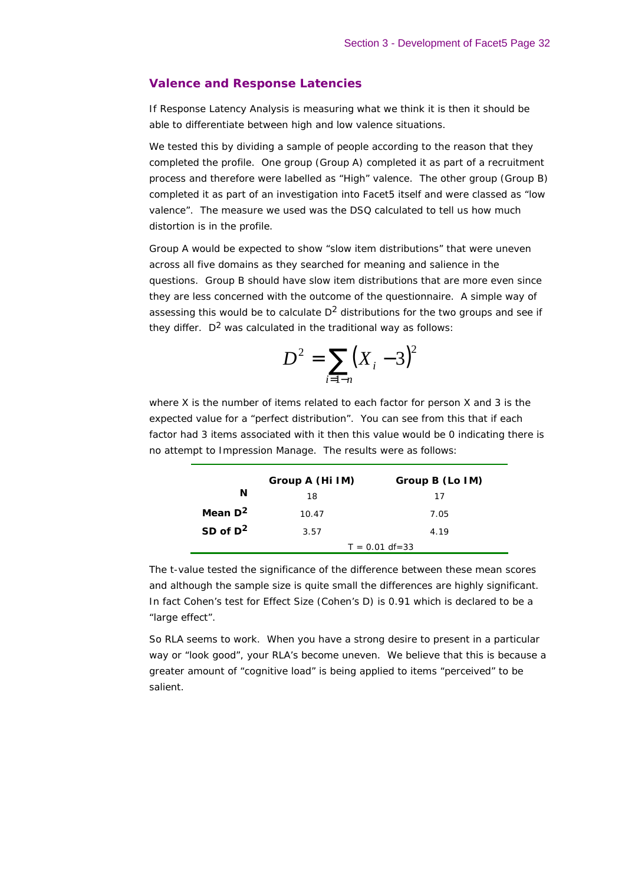#### *Valence and Response Latencies*

If Response Latency Analysis is measuring what we think it is then it should be able to differentiate between high and low valence situations.

We tested this by dividing a sample of people according to the reason that they completed the profile. One group (Group A) completed it as part of a recruitment process and therefore were labelled as "High" valence. The other group (Group B) completed it as part of an investigation into Facet5 itself and were classed as "low valence". The measure we used was the DSQ calculated to tell us how much distortion is in the profile.

Group A would be expected to show "slow item distributions" that were uneven across all five domains as they searched for meaning and salience in the questions. Group B should have slow item distributions that are more even since they are less concerned with the outcome of the questionnaire. A simple way of assessing this would be to calculate  $D<sup>2</sup>$  distributions for the two groups and see if they differ.  $D^2$  was calculated in the traditional way as follows:

$$
D^2 = \sum_{i=1-n} (X_i - 3)^2
$$

where X is the number of items related to each factor for person X and 3 is the expected value for a "perfect distribution". You can see from this that if each factor had 3 items associated with it then this value would be 0 indicating there is no attempt to Impression Manage. The results were as follows:

|             | Group A (Hi IM) | Group B (Lo IM)    |
|-------------|-----------------|--------------------|
| N           | 18              | 17                 |
| Mean $D^2$  | 10.47           | 7.05               |
| SD of $D^2$ | 3.57            | 4.19               |
|             |                 | $T = 0.01 df = 33$ |

The t-value tested the significance of the difference between these mean scores and although the sample size is quite small the differences are highly significant. In fact Cohen's test for Effect Size (Cohen's D) is 0.91 which is declared to be a "large effect".

So RLA seems to work. When you have a strong desire to present in a particular way or "look good", your RLA's become uneven. We believe that this is because a greater amount of "cognitive load" is being applied to items "perceived" to be salient.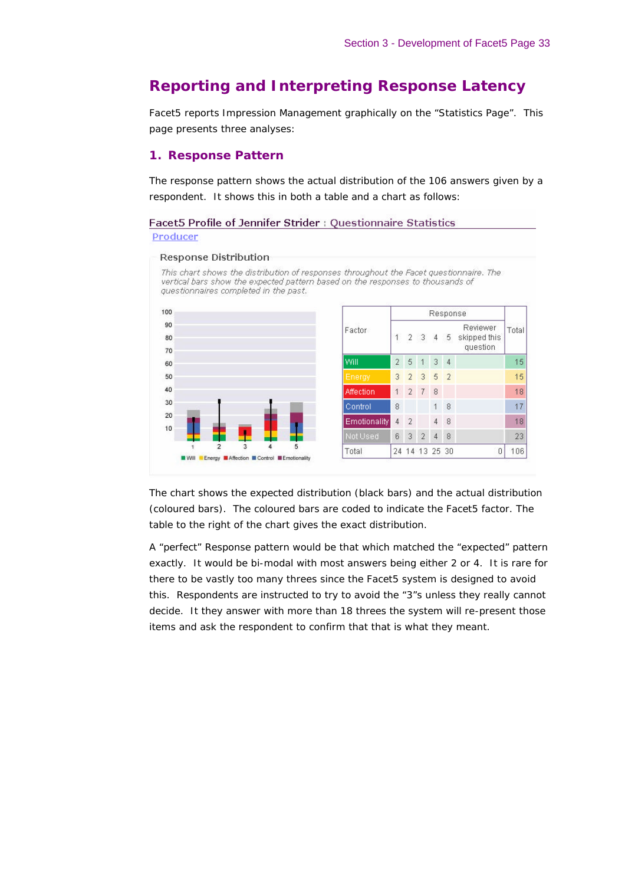# **Reporting and Interpreting Response Latency**

Facet5 reports Impression Management graphically on the "Statistics Page". This page presents three analyses:

#### *1. Response Pattern*

The response pattern shows the actual distribution of the 106 answers given by a respondent. It shows this in both a table and a chart as follows:

Facet5 Profile of Jennifer Strider : Questionnaire Statistics Producer

#### **Response Distribution**

This chart shows the distribution of responses throughout the Facet questionnaire. The vertical bars show the expected pattern based on the responses to thousands of questionnaires completed in the past.



The chart shows the expected distribution (black bars) and the actual distribution (coloured bars). The coloured bars are coded to indicate the Facet5 factor. The table to the right of the chart gives the exact distribution.

A "perfect" Response pattern would be that which matched the "expected" pattern exactly. It would be bi-modal with most answers being either 2 or 4. It is rare for there to be vastly too many threes since the Facet5 system is designed to avoid this. Respondents are instructed to try to avoid the "3"s unless they really cannot decide. It they answer with more than 18 threes the system will re-present those items and ask the respondent to confirm that that is what they meant.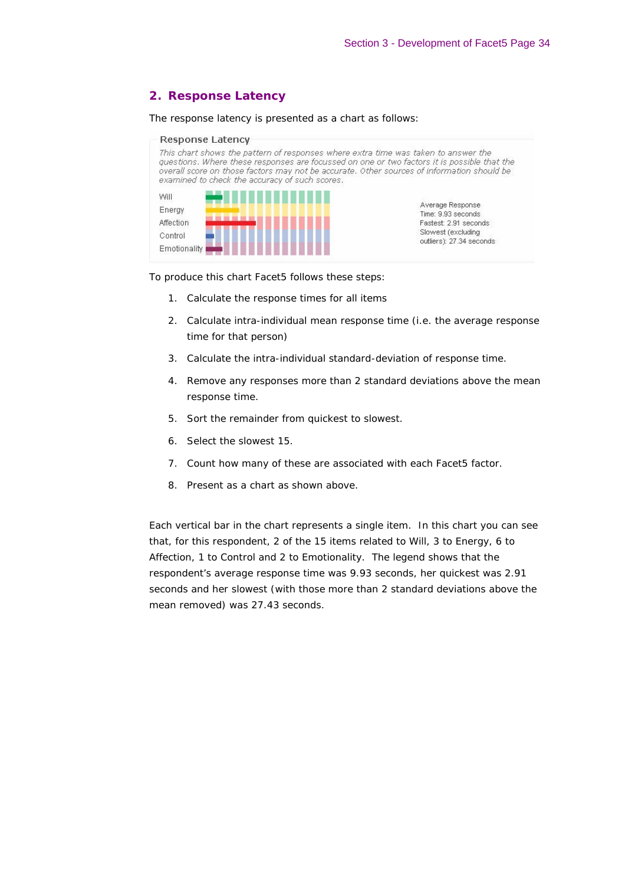# *2. Response Latency*

The response latency is presented as a chart as follows:

| Response Latency<br>examined to check the accuracy of such scores. | This chart shows the pattern of responses where extra time was taken to answer the<br>questions. Where these responses are focussed on one or two factors it is possible that the<br>overall score on those factors may not be accurate. Other sources of information should be |
|--------------------------------------------------------------------|---------------------------------------------------------------------------------------------------------------------------------------------------------------------------------------------------------------------------------------------------------------------------------|
| Will                                                               |                                                                                                                                                                                                                                                                                 |
| Energy                                                             | Average Response<br>Time: 9.93 seconds                                                                                                                                                                                                                                          |
| Affection                                                          | Fastest: 2.91 seconds                                                                                                                                                                                                                                                           |
| Control                                                            | Slowest (excluding                                                                                                                                                                                                                                                              |
| Emotionality                                                       | outliers): 27.34 seconds                                                                                                                                                                                                                                                        |

To produce this chart Facet5 follows these steps:

- 1. Calculate the response times for all items
- 2. Calculate intra-individual mean response time (i.e. the average response time for that person)
- 3. Calculate the intra-individual standard-deviation of response time.
- 4. Remove any responses more than 2 standard deviations above the mean response time.
- 5. Sort the remainder from quickest to slowest.
- 6. Select the slowest 15.
- 7. Count how many of these are associated with each Facet5 factor.
- 8. Present as a chart as shown above.

Each vertical bar in the chart represents a single item. In this chart you can see that, for this respondent, 2 of the 15 items related to Will, 3 to Energy, 6 to Affection, 1 to Control and 2 to Emotionality. The legend shows that the respondent's average response time was 9.93 seconds, her quickest was 2.91 seconds and her slowest (with those more than 2 standard deviations above the mean removed) was 27.43 seconds.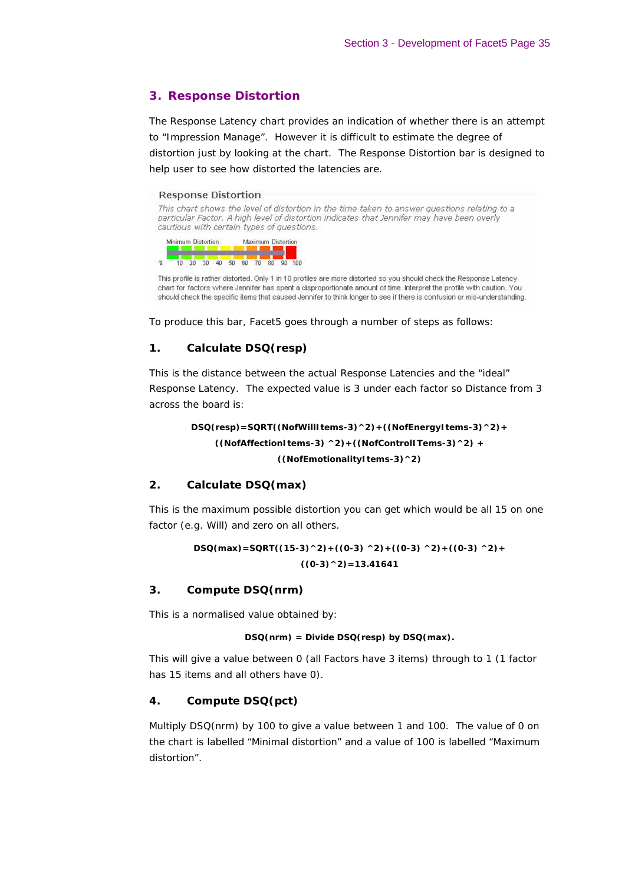### *3. Response Distortion*

The Response Latency chart provides an indication of whether there is an attempt to "Impression Manage". However it is difficult to estimate the degree of distortion just by looking at the chart. The Response Distortion bar is designed to help user to see how distorted the latencies are.

#### **Response Distortion**

This chart shows the level of distortion in the time taken to answer questions relating to a particular Factor. A high level of distortion indicates that Jennifer may have been overly cautious with certain types of questions.



This profile is rather distorted. Only 1 in 10 profiles are more distorted so you should check the Response Latency chart for factors where Jennifer has spent a disproportionate amount of time. Interpret the profile with caution. You should check the specific items that caused Jennifer to think longer to see if there is confusion or mis-understanding.

To produce this bar, Facet5 goes through a number of steps as follows:

#### **1. Calculate DSQ(resp)**

This is the distance between the actual Response Latencies and the "ideal" Response Latency. The expected value is 3 under each factor so Distance from 3 across the board is:

> **DSQ(resp)=SQRT((NofWillItems-3)^2)+((NofEnergyItems-3)^2)+ ((NofAffectionItems-3) ^2)+((NofControlITems-3)^2) + ((NofEmotionalityItems-3)^2)**

#### **2. Calculate DSQ(max)**

This is the maximum possible distortion you can get which would be all 15 on one factor (e.g. Will) and zero on all others.

$$
DSQ(max) = SQRT((15-3)^{2} + ((0-3)^{2} + ((0-3)^{2} + ((0-3)^{2} + (0-3)^{2} + (0-3)^{2}))
$$
  
((0-3)^{2}) = 13.41641

#### **3. Compute DSQ(nrm)**

This is a normalised value obtained by:

#### **DSQ(nrm) = Divide DSQ(resp) by DSQ(max).**

This will give a value between 0 (all Factors have 3 items) through to 1 (1 factor has 15 items and all others have 0).

#### **4. Compute DSQ(pct)**

Multiply DSQ(nrm) by 100 to give a value between 1 and 100. The value of 0 on the chart is labelled "Minimal distortion" and a value of 100 is labelled "Maximum distortion".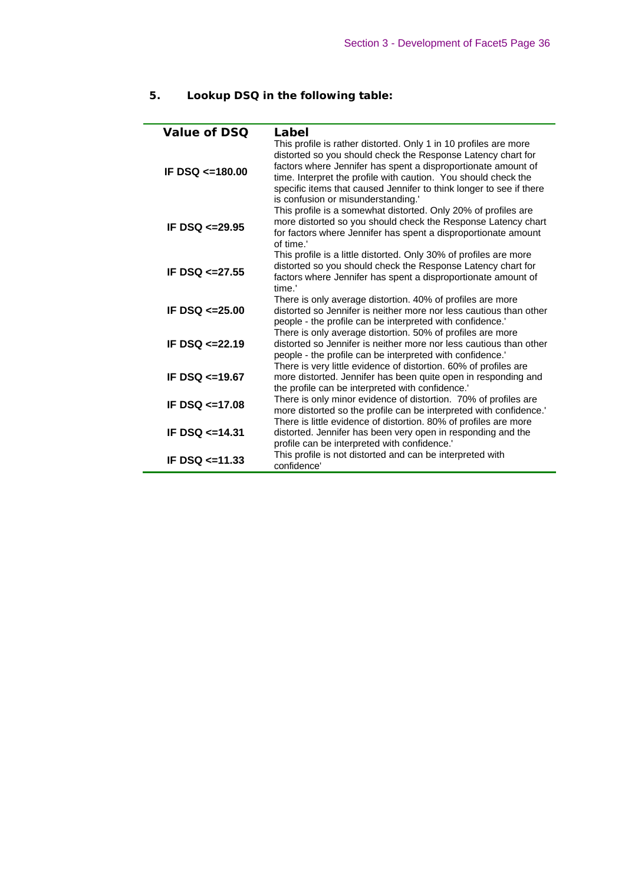# **5. Lookup DSQ in the following table:**

| Value of DSQ          | Label                                                                                                                                                                                                                                                                                                                                                                            |
|-----------------------|----------------------------------------------------------------------------------------------------------------------------------------------------------------------------------------------------------------------------------------------------------------------------------------------------------------------------------------------------------------------------------|
| IF DSQ $\leq$ =180.00 | This profile is rather distorted. Only 1 in 10 profiles are more<br>distorted so you should check the Response Latency chart for<br>factors where Jennifer has spent a disproportionate amount of<br>time. Interpret the profile with caution. You should check the<br>specific items that caused Jennifer to think longer to see if there<br>is confusion or misunderstanding.' |
| IF DSQ $\leq$ 29.95   | This profile is a somewhat distorted. Only 20% of profiles are<br>more distorted so you should check the Response Latency chart<br>for factors where Jennifer has spent a disproportionate amount<br>of time.'                                                                                                                                                                   |
| IF DSQ $\leq$ 27.55   | This profile is a little distorted. Only 30% of profiles are more<br>distorted so you should check the Response Latency chart for<br>factors where Jennifer has spent a disproportionate amount of<br>time.'                                                                                                                                                                     |
| IF DSQ $\leq$ 25.00   | There is only average distortion. 40% of profiles are more<br>distorted so Jennifer is neither more nor less cautious than other<br>people - the profile can be interpreted with confidence.                                                                                                                                                                                     |
| IF DSQ $\leq$ 22.19   | There is only average distortion. 50% of profiles are more<br>distorted so Jennifer is neither more nor less cautious than other<br>people - the profile can be interpreted with confidence.<br>There is very little evidence of distortion. 60% of profiles are                                                                                                                 |
| IF DSQ $\leq$ 19.67   | more distorted. Jennifer has been quite open in responding and<br>the profile can be interpreted with confidence."                                                                                                                                                                                                                                                               |
| IF DSQ $\leq$ 17.08   | There is only minor evidence of distortion. 70% of profiles are<br>more distorted so the profile can be interpreted with confidence.'                                                                                                                                                                                                                                            |
| IF DSQ $<=14.31$      | There is little evidence of distortion. 80% of profiles are more<br>distorted. Jennifer has been very open in responding and the<br>profile can be interpreted with confidence.'                                                                                                                                                                                                 |
| IF DSQ $\leq$ 11.33   | This profile is not distorted and can be interpreted with<br>confidence'                                                                                                                                                                                                                                                                                                         |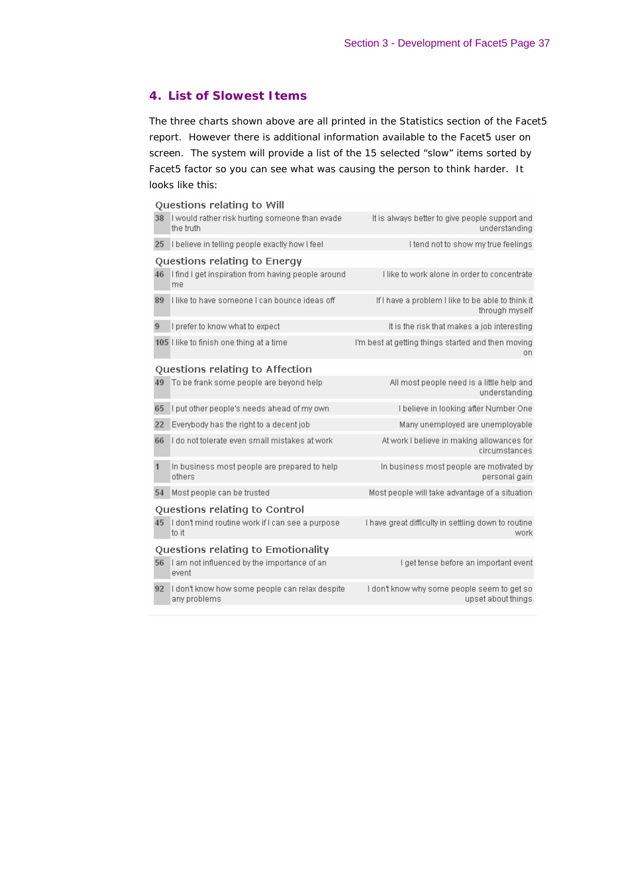## *4. List of Slowest Items*

The three charts shown above are all printed in the Statistics section of the Facet5 report. However there is additional information available to the Facet5 user on screen. The system will provide a list of the 15 selected "slow" items sorted by Facet5 factor so you can see what was causing the person to think harder. It looks like this:

|    | Questions relating to Will                                     |                                                                     |
|----|----------------------------------------------------------------|---------------------------------------------------------------------|
| 38 | I would rather risk hurting someone than evade<br>the truth    | It is always better to give people support and<br>understanding     |
| 25 | I believe in telling people exactly how I feel                 | I tend not to show my true feelings                                 |
|    | Questions relating to Energy                                   |                                                                     |
| 46 | I find I get inspiration from having people around<br>me       | I like to work alone in order to concentrate                        |
| 89 | I like to have someone I can bounce ideas off                  | If I have a problem I like to be able to think it<br>through myself |
| 9  | I prefer to know what to expect                                | It is the risk that makes a job interesting                         |
|    | 105 I like to finish one thing at a time                       | I'm best at getting things started and then moving<br>on.           |
|    | Questions relating to Affection                                |                                                                     |
| 49 | To be frank some people are beyond help                        | All most people need is a little help and<br>understanding          |
| 65 | I put other people's needs ahead of my own                     | I believe in looking after Number One                               |
| 22 | Everybody has the right to a decent job                        | Many unemployed are unemployable                                    |
| 66 | I do not tolerate even small mistakes at work                  | At work I believe in making allowances for<br>circumstances         |
| 1  | In business most people are prepared to help<br>others         | In business most people are motivated by<br>personal gain           |
| 54 | Most people can be trusted                                     | Most people will take advantage of a situation                      |
|    | Questions relating to Control                                  |                                                                     |
| 45 | I don't mind routine work if I can see a purpose<br>to it      | I have great difficulty in settling down to routine<br>work         |
|    | Questions relating to Emotionality                             |                                                                     |
| 56 | I am not influenced by the importance of an<br>event           | I get tense before an important event                               |
| 92 | I don't know how some people can relax despite<br>any problems | I don't know why some people seem to get so<br>upset about things   |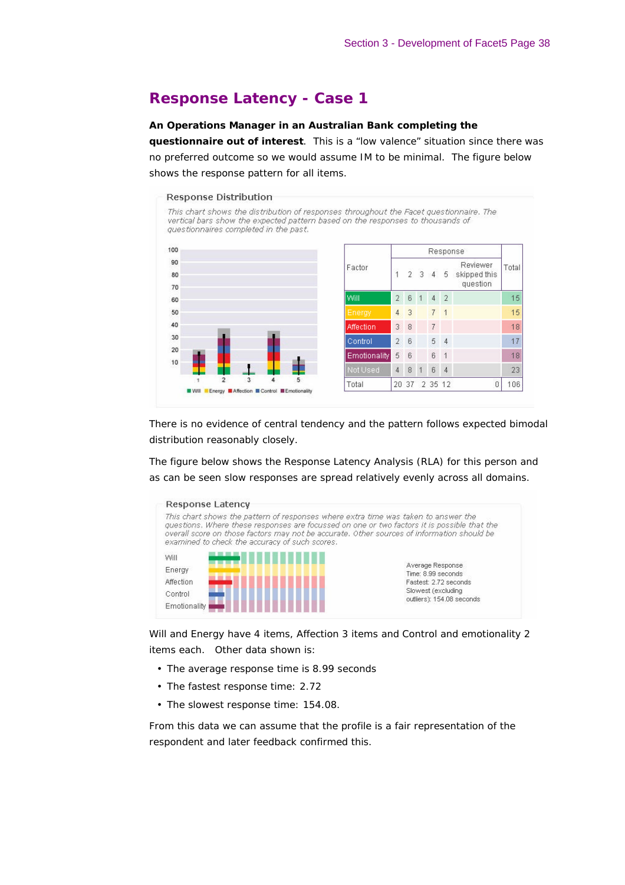# **Response Latency - Case 1**

#### **An Operations Manager in an Australian Bank completing the**

**questionnaire out of interest**. This is a "low valence" situation since there was no preferred outcome so we would assume IM to be minimal. The figure below shows the response pattern for all items.

#### Response Distribution

This chart shows the distribution of responses throughout the Facet questionnaire. The vertical bars show the expected pattern based on the responses to thousands of questionnaires completed in the past.



|              | Response       |   |   |                |                |                                      |       |
|--------------|----------------|---|---|----------------|----------------|--------------------------------------|-------|
| Factor       | $\overline{1}$ |   |   | $2 \t3 \t4$    | 5 <sub>1</sub> | Reviewer<br>skipped this<br>question | Total |
| Will         | $\overline{2}$ | 6 | 1 | 4              | $\overline{2}$ |                                      | 15    |
| Energy       | 4              | 3 |   | 7              | $\mathbf{1}$   |                                      | 15    |
| Affection    | 3              | 8 |   | $\overline{I}$ |                |                                      | 18    |
| Control      | $\overline{2}$ | 6 |   | 5              | 4              |                                      | 17    |
| Emotionality | 5              | 6 |   | 6              | 1              |                                      | 18    |
| Not Used     | 4              | 8 | 1 | 6              | 4              |                                      | 23    |
| Total        |                |   |   | 20 37 2 35 12  |                | 0                                    | 106   |

There is no evidence of central tendency and the pattern follows expected bimodal distribution reasonably closely.

The figure below shows the Response Latency Analysis (RLA) for this person and as can be seen slow responses are spread relatively evenly across all domains.



Will and Energy have 4 items, Affection 3 items and Control and emotionality 2 items each. Other data shown is:

- The average response time is 8.99 seconds
- The fastest response time: 2.72
- The slowest response time: 154.08.

From this data we can assume that the profile is a fair representation of the respondent and later feedback confirmed this.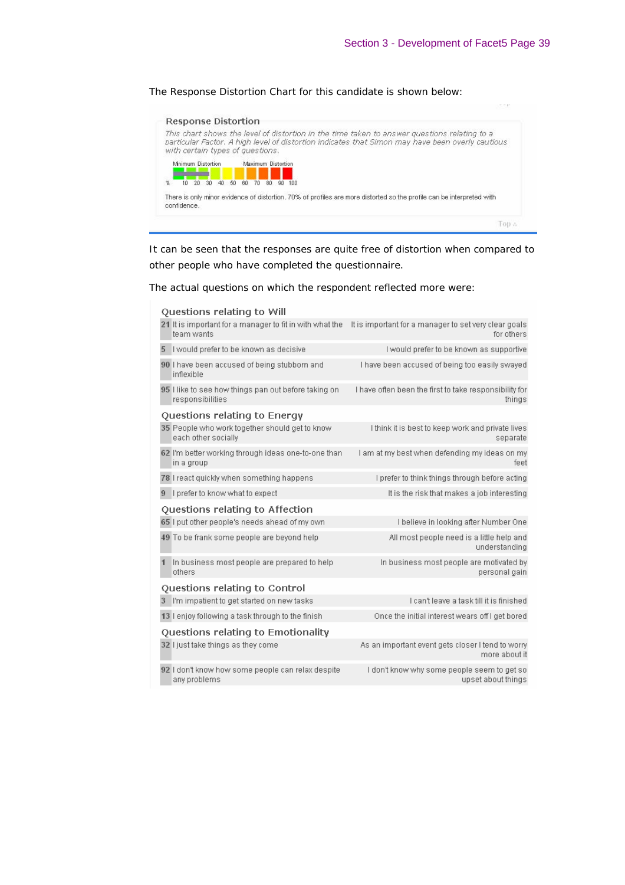#### The Response Distortion Chart for this candidate is shown below:



It can be seen that the responses are quite free of distortion when compared to other people who have completed the questionnaire.

The actual questions on which the respondent reflected more were:

|                                    | Questions relating to Will                                               |                                                                     |  |  |  |  |  |
|------------------------------------|--------------------------------------------------------------------------|---------------------------------------------------------------------|--|--|--|--|--|
|                                    | 21 It is important for a manager to fit in with what the<br>team wants   | It is important for a manager to set very clear goals<br>for others |  |  |  |  |  |
| 5                                  | I would prefer to be known as decisive                                   | I would prefer to be known as supportive                            |  |  |  |  |  |
|                                    | 90 I have been accused of being stubborn and<br>inflexible               | I have been accused of being too easily swayed                      |  |  |  |  |  |
|                                    | 95 I like to see how things pan out before taking on<br>responsibilities | I have often been the first to take responsibility for<br>things    |  |  |  |  |  |
| Questions relating to Energy       |                                                                          |                                                                     |  |  |  |  |  |
|                                    | 35 People who work together should get to know<br>each other socially    | I think it is best to keep work and private lives<br>separate       |  |  |  |  |  |
|                                    | 62 I'm better working through ideas one-to-one than<br>in a group        | I am at my best when defending my ideas on my<br>feet               |  |  |  |  |  |
|                                    | 78 I react quickly when something happens                                | I prefer to think things through before acting                      |  |  |  |  |  |
| 9                                  | I prefer to know what to expect                                          | It is the risk that makes a job interesting                         |  |  |  |  |  |
|                                    | Questions relating to Affection                                          |                                                                     |  |  |  |  |  |
|                                    | 65 I put other people's needs ahead of my own                            | I believe in looking after Number One                               |  |  |  |  |  |
|                                    | 49 To be frank some people are beyond help                               | All most people need is a little help and<br>understanding          |  |  |  |  |  |
|                                    | In business most people are prepared to help<br>others                   | In business most people are motivated by<br>personal gain           |  |  |  |  |  |
| Questions relating to Control      |                                                                          |                                                                     |  |  |  |  |  |
|                                    | 3 I'm impatient to get started on new tasks                              | I can't leave a task till it is finished                            |  |  |  |  |  |
|                                    | 13 I enjoy following a task through to the finish                        | Once the initial interest wears off I get bored                     |  |  |  |  |  |
| Questions relating to Emotionality |                                                                          |                                                                     |  |  |  |  |  |
|                                    | 32 I just take things as they come                                       | As an important event gets closer I tend to worry<br>more about it  |  |  |  |  |  |
|                                    | 92 I don't know how some people can relax despite<br>any problems        | I don't know why some people seem to get so<br>upset about things   |  |  |  |  |  |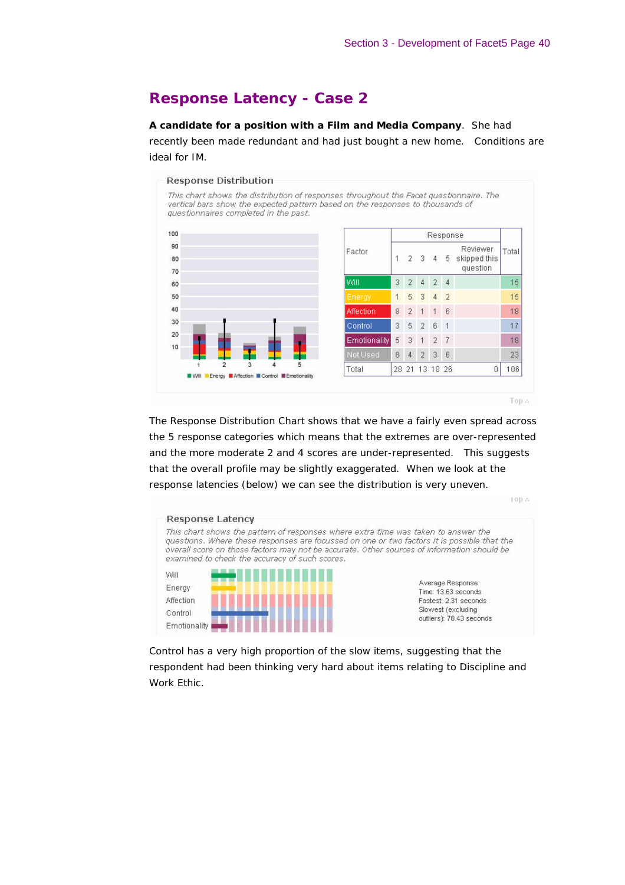# **Response Latency - Case 2**

**A candidate for a position with a Film and Media Company**. She had recently been made redundant and had just bought a new home. Conditions are ideal for IM.

#### **Response Distribution**

This chart shows the distribution of responses throughout the Facet questionnaire. The vertical bars show the expected pattern based on the responses to thousands of questionnaires completed in the past.



|                 | Response       |                |                |                |                |                                      |       |
|-----------------|----------------|----------------|----------------|----------------|----------------|--------------------------------------|-------|
| actor           | $\overline{1}$ | 2 3            |                | $\overline{4}$ | 5.             | Reviewer<br>skipped this<br>question | Total |
| Mill            | 3              | $\overline{2}$ | 4              | $\overline{2}$ | $\overline{4}$ |                                      | 15    |
| Enerav          | 1              | 5              | 3              | $\overline{4}$ | $\overline{2}$ |                                      | 15    |
| Affection       | 8              | $\overline{2}$ | $\overline{1}$ | 1              | 6              |                                      | 18    |
| Control         | 3              | 5              | $\overline{2}$ | 6              | 1              |                                      | 17    |
| Emotionality    | 5              | 3              | $\overline{1}$ | $\overline{2}$ | $\overline{7}$ |                                      | 18    |
| <b>Not Used</b> | 8              | $\overline{4}$ | $\overline{2}$ | 3              | 6              |                                      | 23    |
| otal            |                |                | 28 21 13 18 26 |                |                | 0                                    | 106   |

Top A

100.8

The Response Distribution Chart shows that we have a fairly even spread across the 5 response categories which means that the extremes are over-represented and the more moderate 2 and 4 scores are under-represented. This suggests that the overall profile may be slightly exaggerated. When we look at the response latencies (below) we can see the distribution is very uneven.



Control has a very high proportion of the slow items, suggesting that the respondent had been thinking very hard about items relating to Discipline and Work Ethic.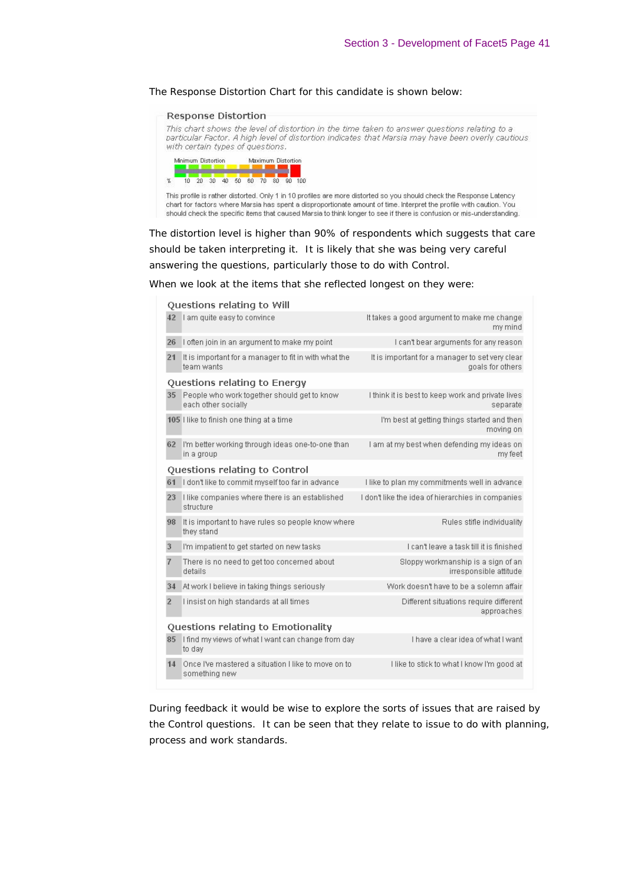#### The Response Distortion Chart for this candidate is shown below:

#### **Response Distortion**

This chart shows the level of distortion in the time taken to answer questions relating to a particular Factor, A high level of distortion indicates that Marsia may have been overly cautious with certain types of questions.



This profile is rather distorted. Only 1 in 10 profiles are more distorted so you should check the Response Latency chart for factors where Marsia has spent a disproportionate amount of time. Interpret the profile with caution. You should check the specific items that caused Marsia to think longer to see if there is confusion or mis-understanding.

The distortion level is higher than 90% of respondents which suggests that care should be taken interpreting it. It is likely that she was being very careful answering the questions, particularly those to do with Control.

When we look at the items that she reflected longest on they were:

|                                    | Questions relating to Will                                           |                                                                     |  |  |  |  |  |  |
|------------------------------------|----------------------------------------------------------------------|---------------------------------------------------------------------|--|--|--|--|--|--|
|                                    | 42 I am quite easy to convince                                       | It takes a good argument to make me change<br>my mind               |  |  |  |  |  |  |
| 26                                 | I often join in an argument to make my point                         | I can't bear arguments for any reason                               |  |  |  |  |  |  |
| 21                                 | It is important for a manager to fit in with what the<br>team wants  | It is important for a manager to set very clear<br>goals for others |  |  |  |  |  |  |
| Questions relating to Energy       |                                                                      |                                                                     |  |  |  |  |  |  |
| 35                                 | People who work together should get to know<br>each other socially   | I think it is best to keep work and private lives<br>separate       |  |  |  |  |  |  |
|                                    | 105 Hike to finish one thing at a time                               | I'm best at getting things started and then<br>moving on            |  |  |  |  |  |  |
| 62                                 | I'm better working through ideas one-to-one than<br>in a group       | I am at my best when defending my ideas on<br>my feet               |  |  |  |  |  |  |
| Questions relating to Control      |                                                                      |                                                                     |  |  |  |  |  |  |
| 61                                 | I don't like to commit myself too far in advance                     | I like to plan my commitments well in advance.                      |  |  |  |  |  |  |
| 23                                 | I like companies where there is an established<br>structure          | I don't like the idea of hierarchies in companies                   |  |  |  |  |  |  |
| 98                                 | It is important to have rules so people know where<br>they stand     | Rules stifle individuality                                          |  |  |  |  |  |  |
| 3                                  | I'm impatient to get started on new tasks                            | I can't leave a task till it is finished                            |  |  |  |  |  |  |
| $\overline{7}$                     | There is no need to get too concerned about<br>details               | Sloppy workmanship is a sign of an<br>irresponsible attitude        |  |  |  |  |  |  |
| 34                                 | At work I believe in taking things seriously                         | Work doesn't have to be a solemn affair                             |  |  |  |  |  |  |
| $\overline{2}$                     | I insist on high standards at all times                              | Different situations require different<br>approaches                |  |  |  |  |  |  |
| Questions relating to Emotionality |                                                                      |                                                                     |  |  |  |  |  |  |
| 85                                 | I find my views of what I want can change from day<br>to day         | I have a clear idea of what I want                                  |  |  |  |  |  |  |
| 14                                 | Once I've mastered a situation I like to move on to<br>something new | I like to stick to what I know I'm good at                          |  |  |  |  |  |  |
|                                    |                                                                      |                                                                     |  |  |  |  |  |  |

During feedback it would be wise to explore the sorts of issues that are raised by the Control questions. It can be seen that they relate to issue to do with planning, process and work standards.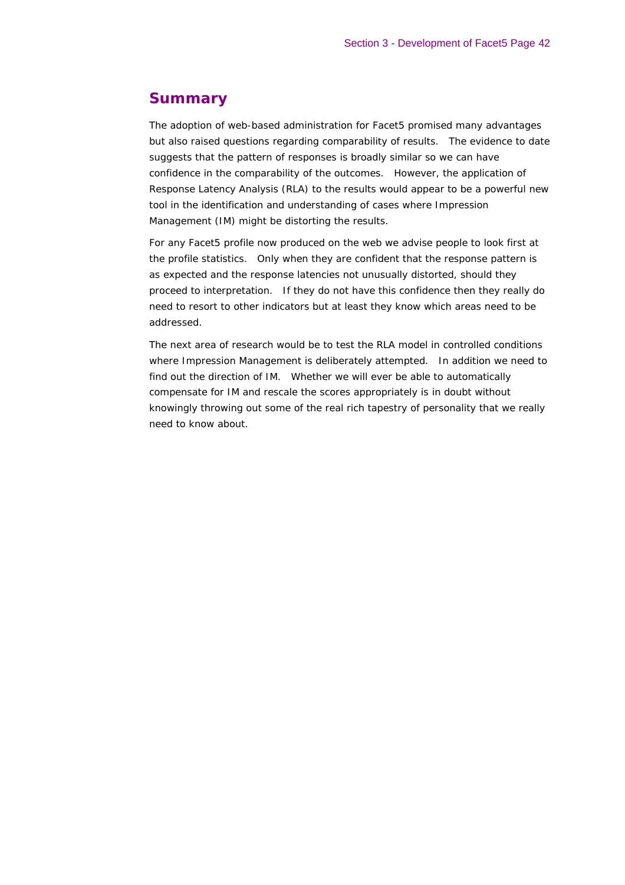# **Summary**

The adoption of web-based administration for Facet5 promised many advantages but also raised questions regarding comparability of results. The evidence to date suggests that the pattern of responses is broadly similar so we can have confidence in the comparability of the outcomes. However, the application of Response Latency Analysis (RLA) to the results would appear to be a powerful new tool in the identification and understanding of cases where Impression Management (IM) might be distorting the results.

For any Facet5 profile now produced on the web we advise people to look first at the profile statistics. Only when they are confident that the response pattern is as expected and the response latencies not unusually distorted, should they proceed to interpretation. If they do not have this confidence then they really do need to resort to other indicators but at least they know which areas need to be addressed.

The next area of research would be to test the RLA model in controlled conditions where Impression Management is deliberately attempted. In addition we need to find out the direction of IM. Whether we will ever be able to automatically compensate for IM and rescale the scores appropriately is in doubt without knowingly throwing out some of the real rich tapestry of personality that we really need to know about.